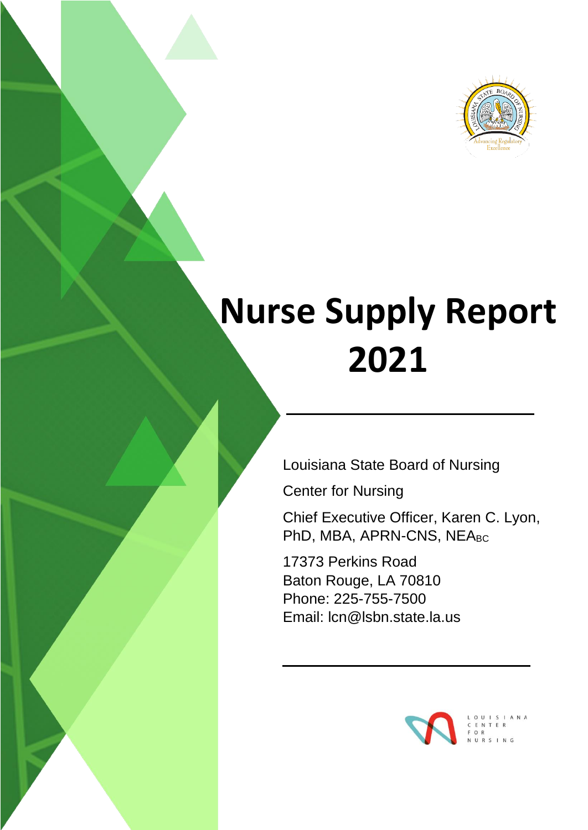

# **Nurse Supply Report 2021**

Louisiana State Board of Nursing

Center for Nursing

Chief Executive Officer, Karen C. Lyon, PhD, MBA, APRN-CNS, NEABC

17373 Perkins Road Baton Rouge, LA 70810 Phone: 225-755-7500 Email: lcn@lsbn.state.la.us

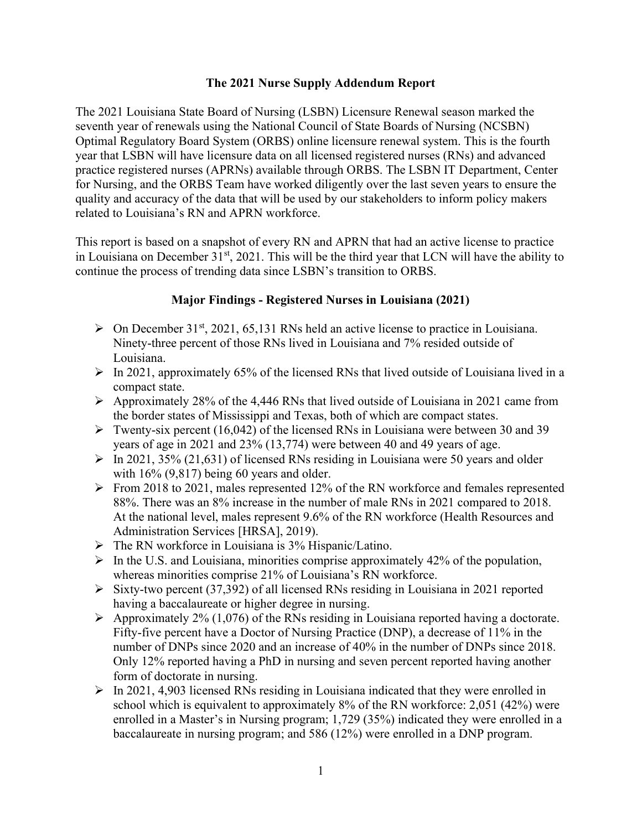## The 2021 Nurse Supply Addendum Report

The 2021 Louisiana State Board of Nursing (LSBN) Licensure Renewal season marked the seventh year of renewals using the National Council of State Boards of Nursing (NCSBN) Optimal Regulatory Board System (ORBS) online licensure renewal system. This is the fourth year that LSBN will have licensure data on all licensed registered nurses (RNs) and advanced practice registered nurses (APRNs) available through ORBS. The LSBN IT Department, Center for Nursing, and the ORBS Team have worked diligently over the last seven years to ensure the quality and accuracy of the data that will be used by our stakeholders to inform policy makers related to Louisiana's RN and APRN workforce.

This report is based on a snapshot of every RN and APRN that had an active license to practice in Louisiana on December  $31<sup>st</sup>$ , 2021. This will be the third year that LCN will have the ability to continue the process of trending data since LSBN's transition to ORBS.

# Major Findings - Registered Nurses in Louisiana (2021)

- $\triangleright$  On December 31<sup>st</sup>, 2021, 65,131 RNs held an active license to practice in Louisiana. Ninety-three percent of those RNs lived in Louisiana and 7% resided outside of Louisiana.
- $\triangleright$  In 2021, approximately 65% of the licensed RNs that lived outside of Louisiana lived in a compact state.
- $\triangleright$  Approximately 28% of the 4,446 RNs that lived outside of Louisiana in 2021 came from the border states of Mississippi and Texas, both of which are compact states.
- $\triangleright$  Twenty-six percent (16,042) of the licensed RNs in Louisiana were between 30 and 39 years of age in 2021 and 23% (13,774) were between 40 and 49 years of age.
- $\triangleright$  In 2021, 35% (21,631) of licensed RNs residing in Louisiana were 50 years and older with  $16\%$  (9,817) being 60 years and older.
- $\triangleright$  From 2018 to 2021, males represented 12% of the RN workforce and females represented 88%. There was an 8% increase in the number of male RNs in 2021 compared to 2018. At the national level, males represent 9.6% of the RN workforce (Health Resources and Administration Services [HRSA], 2019).
- $\triangleright$  The RN workforce in Louisiana is 3% Hispanic/Latino.
- $\triangleright$  In the U.S. and Louisiana, minorities comprise approximately 42% of the population, whereas minorities comprise 21% of Louisiana's RN workforce.
- $\triangleright$  Sixty-two percent (37,392) of all licensed RNs residing in Louisiana in 2021 reported having a baccalaureate or higher degree in nursing.
- $\triangleright$  Approximately 2% (1,076) of the RNs residing in Louisiana reported having a doctorate. Fifty-five percent have a Doctor of Nursing Practice (DNP), a decrease of 11% in the number of DNPs since 2020 and an increase of 40% in the number of DNPs since 2018. Only 12% reported having a PhD in nursing and seven percent reported having another form of doctorate in nursing.
- $\triangleright$  In 2021, 4,903 licensed RNs residing in Louisiana indicated that they were enrolled in school which is equivalent to approximately 8% of the RN workforce: 2,051 (42%) were enrolled in a Master's in Nursing program; 1,729 (35%) indicated they were enrolled in a baccalaureate in nursing program; and 586 (12%) were enrolled in a DNP program.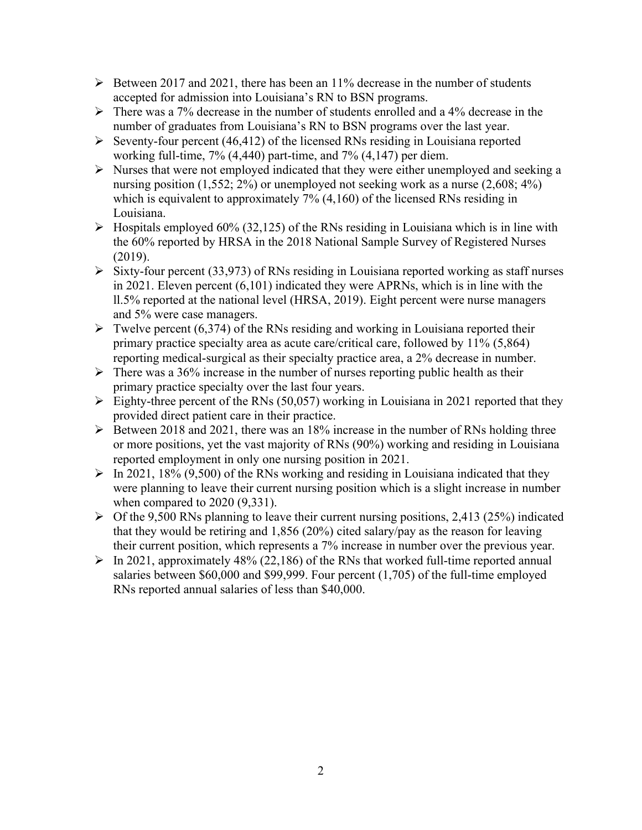- $\triangleright$  Between 2017 and 2021, there has been an 11% decrease in the number of students accepted for admission into Louisiana's RN to BSN programs.
- $\triangleright$  There was a 7% decrease in the number of students enrolled and a 4% decrease in the number of graduates from Louisiana's RN to BSN programs over the last year.
- $\triangleright$  Seventy-four percent (46,412) of the licensed RNs residing in Louisiana reported working full-time, 7% (4,440) part-time, and 7% (4,147) per diem.
- $\triangleright$  Nurses that were not employed indicated that they were either unemployed and seeking a nursing position (1,552; 2%) or unemployed not seeking work as a nurse (2,608; 4%) which is equivalent to approximately  $7\%$  (4,160) of the licensed RNs residing in Louisiana.
- $\triangleright$  Hospitals employed 60% (32,125) of the RNs residing in Louisiana which is in line with the 60% reported by HRSA in the 2018 National Sample Survey of Registered Nurses (2019).
- $\triangleright$  Sixty-four percent (33,973) of RNs residing in Louisiana reported working as staff nurses in 2021. Eleven percent (6,101) indicated they were APRNs, which is in line with the ll.5% reported at the national level (HRSA, 2019). Eight percent were nurse managers and 5% were case managers.
- $\triangleright$  Twelve percent (6,374) of the RNs residing and working in Louisiana reported their primary practice specialty area as acute care/critical care, followed by 11% (5,864) reporting medical-surgical as their specialty practice area, a 2% decrease in number.
- $\triangleright$  There was a 36% increase in the number of nurses reporting public health as their primary practice specialty over the last four years.
- $\triangleright$  Eighty-three percent of the RNs (50,057) working in Louisiana in 2021 reported that they provided direct patient care in their practice.
- $\triangleright$  Between 2018 and 2021, there was an 18% increase in the number of RNs holding three or more positions, yet the vast majority of RNs (90%) working and residing in Louisiana reported employment in only one nursing position in 2021.
- $\triangleright$  In 2021, 18% (9,500) of the RNs working and residing in Louisiana indicated that they were planning to leave their current nursing position which is a slight increase in number when compared to 2020 (9,331).
- $\triangleright$  Of the 9,500 RNs planning to leave their current nursing positions, 2,413 (25%) indicated that they would be retiring and 1,856 (20%) cited salary/pay as the reason for leaving their current position, which represents a 7% increase in number over the previous year.
- $\triangleright$  In 2021, approximately 48% (22,186) of the RNs that worked full-time reported annual salaries between \$60,000 and \$99,999. Four percent (1,705) of the full-time employed RNs reported annual salaries of less than \$40,000.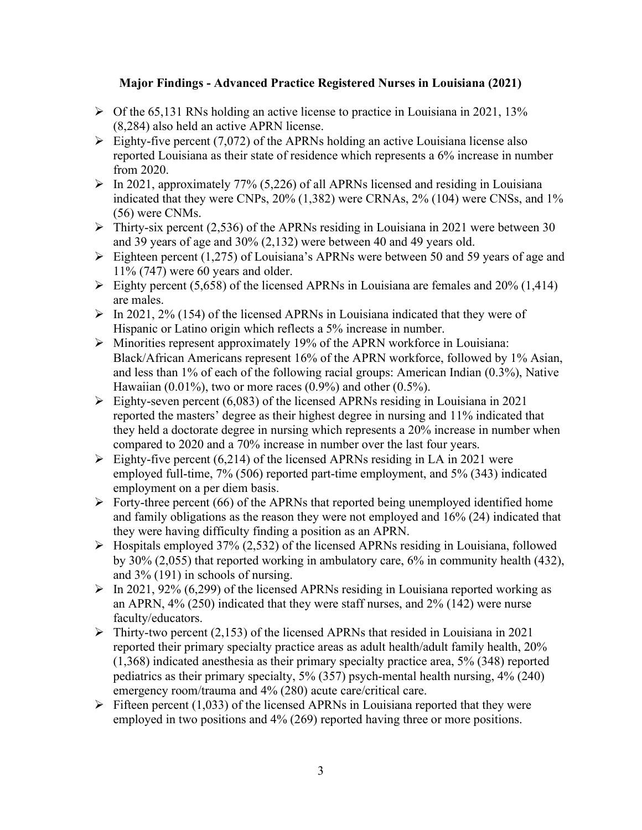# Major Findings - Advanced Practice Registered Nurses in Louisiana (2021)

- $\triangleright$  Of the 65,131 RNs holding an active license to practice in Louisiana in 2021, 13% (8,284) also held an active APRN license.
- $\triangleright$  Eighty-five percent (7,072) of the APRNs holding an active Louisiana license also reported Louisiana as their state of residence which represents a 6% increase in number from 2020.
- $\triangleright$  In 2021, approximately 77% (5,226) of all APRNs licensed and residing in Louisiana indicated that they were CNPs, 20% (1,382) were CRNAs, 2% (104) were CNSs, and 1% (56) were CNMs.
- $\triangleright$  Thirty-six percent (2,536) of the APRNs residing in Louisiana in 2021 were between 30 and 39 years of age and 30% (2,132) were between 40 and 49 years old.
- $\triangleright$  Eighteen percent (1,275) of Louisiana's APRNs were between 50 and 59 years of age and 11% (747) were 60 years and older.
- $\triangleright$  Eighty percent (5,658) of the licensed APRNs in Louisiana are females and 20% (1.414) are males.
- $\triangleright$  In 2021, 2% (154) of the licensed APRNs in Louisiana indicated that they were of Hispanic or Latino origin which reflects a 5% increase in number.
- $\triangleright$  Minorities represent approximately 19% of the APRN workforce in Louisiana: Black/African Americans represent 16% of the APRN workforce, followed by 1% Asian, and less than 1% of each of the following racial groups: American Indian (0.3%), Native Hawaiian  $(0.01\%)$ , two or more races  $(0.9\%)$  and other  $(0.5\%)$ .
- $\triangleright$  Eighty-seven percent (6,083) of the licensed APRNs residing in Louisiana in 2021 reported the masters' degree as their highest degree in nursing and 11% indicated that they held a doctorate degree in nursing which represents a 20% increase in number when compared to 2020 and a 70% increase in number over the last four years.
- $\triangleright$  Eighty-five percent (6,214) of the licensed APRNs residing in LA in 2021 were employed full-time, 7% (506) reported part-time employment, and 5% (343) indicated employment on a per diem basis.
- $\triangleright$  Forty-three percent (66) of the APRNs that reported being unemployed identified home and family obligations as the reason they were not employed and 16% (24) indicated that they were having difficulty finding a position as an APRN.
- $\triangleright$  Hospitals employed 37% (2,532) of the licensed APRNs residing in Louisiana, followed by 30% (2,055) that reported working in ambulatory care, 6% in community health (432), and 3% (191) in schools of nursing.
- $\triangleright$  In 2021, 92% (6,299) of the licensed APRNs residing in Louisiana reported working as an APRN, 4% (250) indicated that they were staff nurses, and 2% (142) were nurse faculty/educators.
- $\triangleright$  Thirty-two percent (2,153) of the licensed APRNs that resided in Louisiana in 2021 reported their primary specialty practice areas as adult health/adult family health, 20% (1,368) indicated anesthesia as their primary specialty practice area, 5% (348) reported pediatrics as their primary specialty, 5% (357) psych-mental health nursing, 4% (240) emergency room/trauma and 4% (280) acute care/critical care.
- $\triangleright$  Fifteen percent (1,033) of the licensed APRNs in Louisiana reported that they were employed in two positions and 4% (269) reported having three or more positions.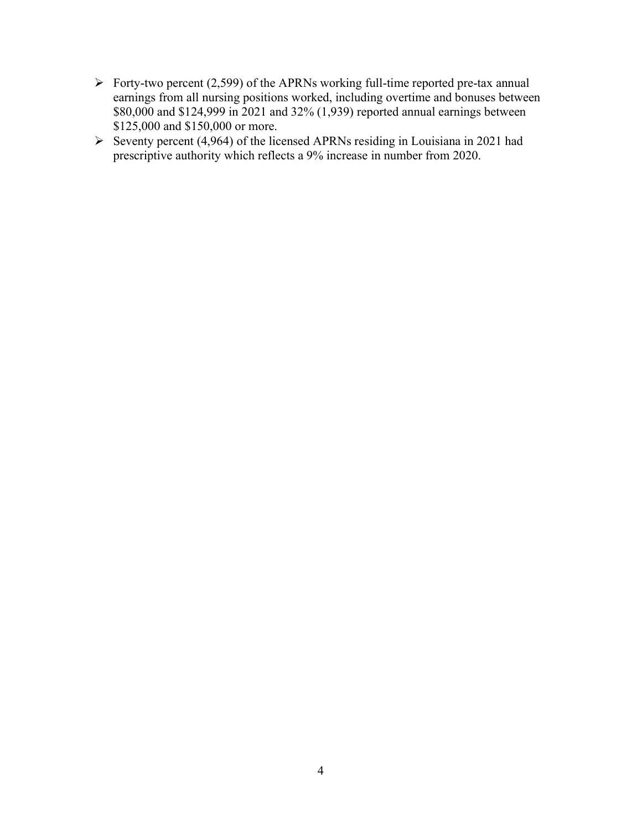- $\triangleright$  Forty-two percent (2,599) of the APRNs working full-time reported pre-tax annual earnings from all nursing positions worked, including overtime and bonuses between \$80,000 and \$124,999 in 2021 and 32% (1,939) reported annual earnings between \$125,000 and \$150,000 or more.
- Seventy percent (4,964) of the licensed APRNs residing in Louisiana in 2021 had prescriptive authority which reflects a 9% increase in number from 2020.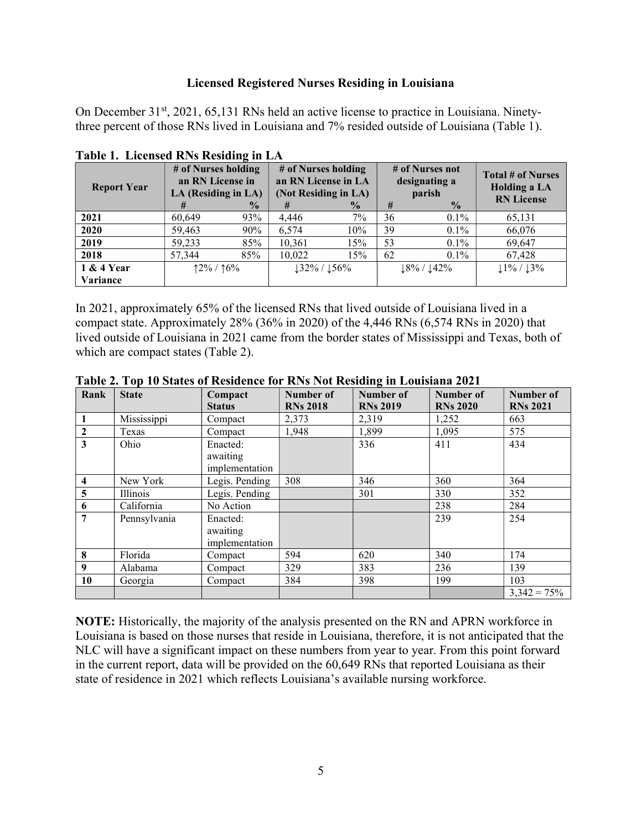#### Licensed Registered Nurses Residing in Louisiana

On December 31<sup>st</sup>, 2021, 65,131 RNs held an active license to practice in Louisiana. Ninetythree percent of those RNs lived in Louisiana and 7% resided outside of Louisiana (Table 1).

| <b>Report Year</b> | # of Nurses holding<br>an RN License in<br>LA (Residing in LA) |               | # of Nurses holding<br>an RN License in LA<br>(Not Residing in LA) |               |    | # of Nurses not<br>designating a<br>parish | Total # of Nurses<br><b>Holding a LA</b><br><b>RN</b> License |
|--------------------|----------------------------------------------------------------|---------------|--------------------------------------------------------------------|---------------|----|--------------------------------------------|---------------------------------------------------------------|
|                    | #                                                              | $\frac{0}{2}$ | #                                                                  | $\frac{0}{0}$ | #  | $\frac{0}{0}$                              |                                                               |
| 2021               | 60,649                                                         | 93%           | 4,446                                                              | $7\%$         | 36 | $0.1\%$                                    | 65,131                                                        |
| 2020               | 59,463                                                         | 90%           | 6,574                                                              | 10%           | 39 | $0.1\%$                                    | 66,076                                                        |
| 2019               | 59,233                                                         | 85%           | 10,361                                                             | 15%           | 53 | 0.1%                                       | 69,647                                                        |
| 2018               | 57,344                                                         | 85%           | 10,022                                                             | 15%           | 62 | 0.1%                                       | 67,428                                                        |
| 1 & 4 Year         | $12\% / 16\%$                                                  |               | $132\% / 156\%$                                                    |               |    | $18\% / 142\%$                             | $11\% / 13\%$                                                 |
| Variance           |                                                                |               |                                                                    |               |    |                                            |                                                               |

Table 1. Licensed RNs Residing in LA

In 2021, approximately 65% of the licensed RNs that lived outside of Louisiana lived in a compact state. Approximately 28% (36% in 2020) of the 4,446 RNs (6,574 RNs in 2020) that lived outside of Louisiana in 2021 came from the border states of Mississippi and Texas, both of which are compact states (Table 2).

| Rank                    | <b>State</b> | Compact                                | Number of       | Number of       | Number of       | Number of       |
|-------------------------|--------------|----------------------------------------|-----------------|-----------------|-----------------|-----------------|
|                         |              | <b>Status</b>                          | <b>RNs 2018</b> | <b>RNs 2019</b> | <b>RNs 2020</b> | <b>RNs 2021</b> |
|                         | Mississippi  | Compact                                | 2,373           | 2,319           | 1,252           | 663             |
| $\overline{2}$          | Texas        | Compact                                | 1,948           | 1,899           | 1,095           | 575             |
| 3                       | Ohio         | Enacted:<br>awaiting<br>implementation |                 | 336             | 411             | 434             |
| $\overline{\mathbf{4}}$ | New York     | Legis. Pending                         | 308             | 346             | 360             | 364             |
| 5                       | Illinois     | Legis. Pending                         |                 | 301             | 330             | 352             |
| 6                       | California   | No Action                              |                 |                 | 238             | 284             |
| 7                       | Pennsylvania | Enacted:<br>awaiting<br>implementation |                 |                 | 239             | 254             |
| 8                       | Florida      | Compact                                | 594             | 620             | 340             | 174             |
| 9                       | Alabama      | Compact                                | 329             | 383             | 236             | 139             |
| 10                      | Georgia      | Compact                                | 384             | 398             | 199             | 103             |
|                         |              |                                        |                 |                 |                 | $3,342 = 75\%$  |

| Table 2. Top 10 States of Residence for RNs Not Residing in Louisiana 2021 |  |  |
|----------------------------------------------------------------------------|--|--|
|                                                                            |  |  |

NOTE: Historically, the majority of the analysis presented on the RN and APRN workforce in Louisiana is based on those nurses that reside in Louisiana, therefore, it is not anticipated that the NLC will have a significant impact on these numbers from year to year. From this point forward in the current report, data will be provided on the 60,649 RNs that reported Louisiana as their state of residence in 2021 which reflects Louisiana's available nursing workforce.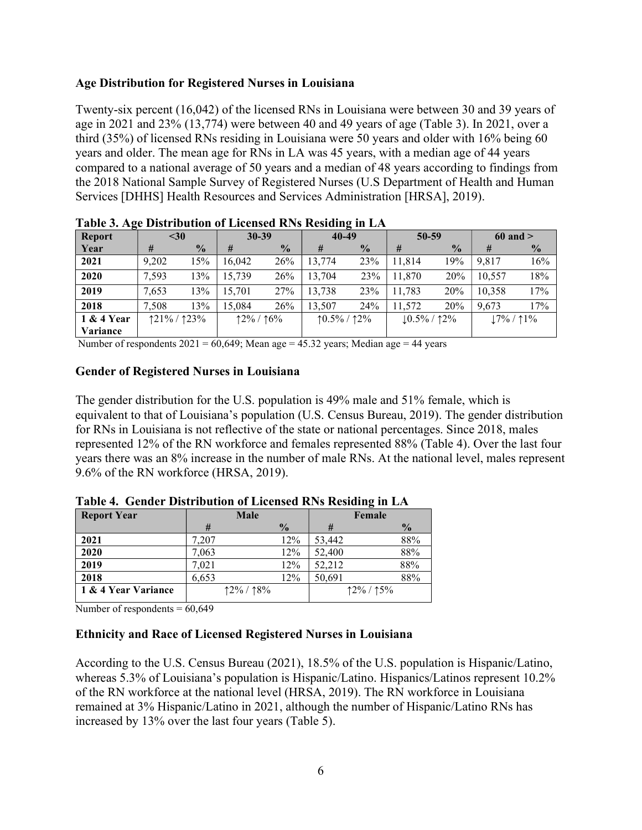# Age Distribution for Registered Nurses in Louisiana

Twenty-six percent (16,042) of the licensed RNs in Louisiana were between 30 and 39 years of age in 2021 and 23% (13,774) were between 40 and 49 years of age (Table 3). In 2021, over a third (35%) of licensed RNs residing in Louisiana were 50 years and older with 16% being 60 years and older. The mean age for RNs in LA was 45 years, with a median age of 44 years compared to a national average of 50 years and a median of 48 years according to findings from the 2018 National Sample Survey of Registered Nurses (U.S Department of Health and Human Services [DHHS] Health Resources and Services Administration [HRSA], 2019).

| ਣਾ<br><b>Report</b> | $30$            |               | 30-39         |               | $40 - 49$                       |               | 50-59          |               | $60$ and $>$ |               |
|---------------------|-----------------|---------------|---------------|---------------|---------------------------------|---------------|----------------|---------------|--------------|---------------|
| Year                | #               | $\frac{0}{0}$ | #             | $\frac{0}{0}$ | #                               | $\frac{0}{0}$ | #              | $\frac{0}{0}$ | #            | $\frac{0}{0}$ |
| 2021                | 9.202           | 15%           | 16,042        | 26%           | 13.774                          | 23%           | 11.814         | 19%           | 9.817        | 16%           |
| 2020                | 7,593           | 13%           | 15.739        | 26%           | 13.704                          | 23%           | 11.870         | 20%           | 10.557       | 18%           |
| 2019                | 7,653           | 13%           | 15.701        | 27%           | 13,738                          | 23%           | 11.783         | 20%           | 10.358       | 17%           |
| 2018                | 7,508           | 13%           | 15,084        | 26%           | 13.507                          | 24%           | 11,572         | 20%           | 9.673        | 17%           |
| 1 & 4 Year          | $121\% / 123\%$ |               | $12\% / 16\%$ |               | $\uparrow$ 0.5% / $\uparrow$ 2% |               | $10.5\%$ / 12% |               | $17\%$ / 11% |               |
| <b>Variance</b>     |                 |               |               |               |                                 |               |                |               |              |               |

| Table 3. Age Distribution of Licensed RNs Residing in LA |
|----------------------------------------------------------|
|----------------------------------------------------------|

Number of respondents  $2021 = 60,649$ ; Mean age = 45.32 years; Median age = 44 years

#### Gender of Registered Nurses in Louisiana

The gender distribution for the U.S. population is 49% male and 51% female, which is equivalent to that of Louisiana's population (U.S. Census Bureau, 2019). The gender distribution for RNs in Louisiana is not reflective of the state or national percentages. Since 2018, males represented 12% of the RN workforce and females represented 88% (Table 4). Over the last four years there was an 8% increase in the number of male RNs. At the national level, males represent 9.6% of the RN workforce (HRSA, 2019).

| <b>Report Year</b>  |       | <b>Male</b>   |        | Female        |
|---------------------|-------|---------------|--------|---------------|
|                     | #     | $\frac{0}{0}$ | #      | $\frac{0}{0}$ |
| 2021                | 7,207 | 12%           | 53,442 | 88%           |
| 2020                | 7,063 | 12%           | 52,400 | 88%           |
| 2019                | 7.021 | 12%           | 52,212 | 88%           |
| 2018                | 6.653 | 12%           | 50,691 | 88%           |
| 1 & 4 Year Variance |       | $12\% / 18\%$ |        | $12\% / 15\%$ |

Table 4. Gender Distribution of Licensed RNs Residing in LA

Number of respondents  $= 60,649$ 

## Ethnicity and Race of Licensed Registered Nurses in Louisiana

According to the U.S. Census Bureau (2021), 18.5% of the U.S. population is Hispanic/Latino, whereas 5.3% of Louisiana's population is Hispanic/Latino. Hispanics/Latinos represent 10.2% of the RN workforce at the national level (HRSA, 2019). The RN workforce in Louisiana remained at 3% Hispanic/Latino in 2021, although the number of Hispanic/Latino RNs has increased by 13% over the last four years (Table 5).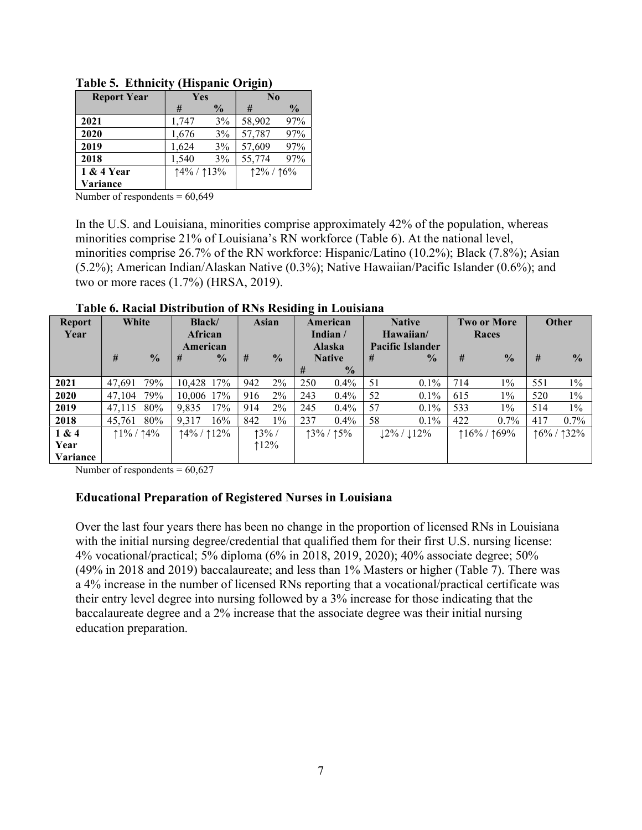| <b>Report Year</b> | Yes        |               | $\bf No$      |               |  |
|--------------------|------------|---------------|---------------|---------------|--|
|                    | #          | $\frac{0}{0}$ | #             | $\frac{6}{9}$ |  |
| 2021               | 1,747      | 3%            | 58,902        | 97%           |  |
| 2020               | 1,676      | 3%            | 57,787        | 97%           |  |
| 2019               | 1,624      | 3%            | 57,609        | 97%           |  |
| 2018               | 1,540      | 3%            | 55,774        | 97%           |  |
| 1 & 4 Year         | 14% / 113% |               | $12\% / 16\%$ |               |  |
| Variance           |            |               |               |               |  |

Table 5. Ethnicity (Hispanic Origin)

Number of respondents  $= 60,649$ 

In the U.S. and Louisiana, minorities comprise approximately 42% of the population, whereas minorities comprise 21% of Louisiana's RN workforce (Table 6). At the national level, minorities comprise 26.7% of the RN workforce: Hispanic/Latino (10.2%); Black (7.8%); Asian (5.2%); American Indian/Alaskan Native (0.3%); Native Hawaiian/Pacific Islander (0.6%); and two or more races (1.7%) (HRSA, 2019).

| <b>Report</b> | White        |               | <b>Black</b>                   |               |     | <b>Asian</b>  |               | American      |                         | <b>Native</b> |       | <b>Two or More</b> | <b>Other</b> |               |
|---------------|--------------|---------------|--------------------------------|---------------|-----|---------------|---------------|---------------|-------------------------|---------------|-------|--------------------|--------------|---------------|
| Year          |              |               | <b>African</b>                 |               |     |               |               | Indian/       | Hawaiian/               |               | Races |                    |              |               |
|               |              |               | American                       |               |     |               | <b>Alaska</b> |               | <b>Pacific Islander</b> |               |       |                    |              |               |
|               | #            | $\frac{0}{0}$ | #                              | $\frac{0}{2}$ | #   | $\frac{0}{0}$ |               | <b>Native</b> | #                       | $\frac{0}{0}$ | #     | $\frac{0}{0}$      | #            | $\frac{0}{0}$ |
|               |              |               |                                |               |     |               | #             | $\frac{1}{2}$ |                         |               |       |                    |              |               |
| 2021          | 47.691       | 79%           | 10.428                         | 17%           | 942 | $2\%$         | 250           | $0.4\%$       | 51                      | $0.1\%$       | 714   | $1\%$              | 551          | $1\%$         |
| 2020          | 47.104       | 79%           | 10.006                         | 17%           | 916 | $2\%$         | 243           | $0.4\%$       | 52                      | $0.1\%$       | 615   | $1\%$              | 520          | $1\%$         |
| 2019          | 47.115       | 80%           | 9,835                          | 17%           | 914 | $2\%$         | 245           | $0.4\%$       | 57                      | $0.1\%$       | 533   | $1\%$              | 514          | $1\%$         |
| 2018          | 45,761       | 80%           | 9,317                          | 16%           | 842 | $1\%$         | 237           | $0.4\%$       | 58                      | $0.1\%$       | 422   | $0.7\%$            | 417          | $0.7\%$       |
| 1 & 4         | $1\% / 14\%$ |               | $\uparrow$ 4% / $\uparrow$ 12% |               |     | $13\%$        |               | $13\% / 15\%$ |                         | $12\% / 12\%$ |       | $116\%$ / 169%     | $16\%$ /     | 132%          |
| Year          |              |               |                                |               |     | 12%           |               |               |                         |               |       |                    |              |               |
| Variance      |              |               |                                |               |     |               |               |               |                         |               |       |                    |              |               |

Table 6. Racial Distribution of RNs Residing in Louisiana

Number of respondents  $= 60,627$ 

## Educational Preparation of Registered Nurses in Louisiana

Over the last four years there has been no change in the proportion of licensed RNs in Louisiana with the initial nursing degree/credential that qualified them for their first U.S. nursing license: 4% vocational/practical; 5% diploma (6% in 2018, 2019, 2020); 40% associate degree; 50% (49% in 2018 and 2019) baccalaureate; and less than 1% Masters or higher (Table 7). There was a 4% increase in the number of licensed RNs reporting that a vocational/practical certificate was their entry level degree into nursing followed by a 3% increase for those indicating that the baccalaureate degree and a 2% increase that the associate degree was their initial nursing education preparation.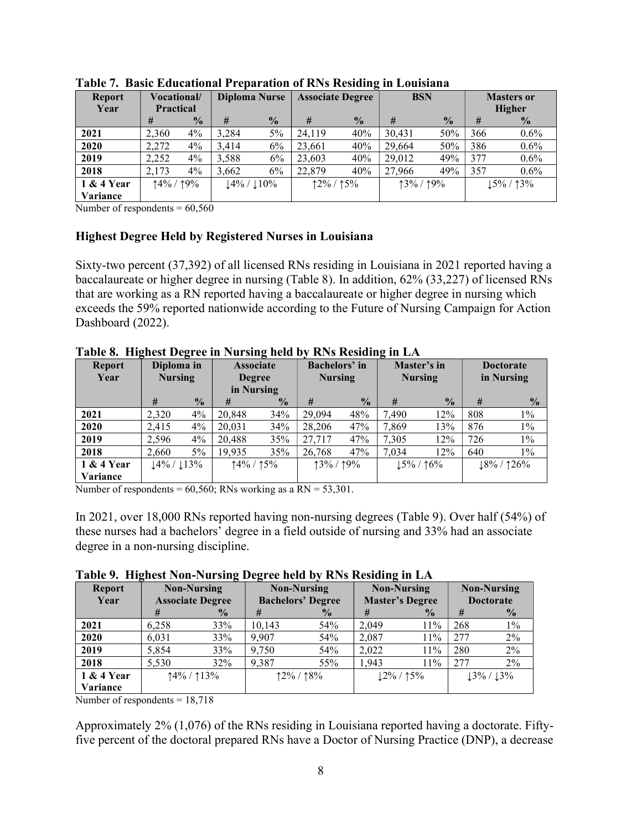| <b>Report</b>   | <b>Vocational/</b> |               | <b>Diploma Nurse</b> |               | <b>Associate Degree</b> |               | <b>BSN</b>    |               | <b>Masters or</b> |               |
|-----------------|--------------------|---------------|----------------------|---------------|-------------------------|---------------|---------------|---------------|-------------------|---------------|
| Year            | <b>Practical</b>   |               |                      |               |                         |               |               |               | Higher            |               |
|                 | #                  | $\frac{0}{0}$ | #                    | $\frac{0}{0}$ | #                       | $\frac{0}{0}$ | #             | $\frac{0}{2}$ | #                 | $\frac{0}{0}$ |
| 2021            | 2,360              | $4\%$         | 3,284                | 5%            | 24,119                  | 40%           | 30,431        | 50%           | 366               | $0.6\%$       |
| 2020            | 2,272              | $4\%$         | 3,414                | 6%            | 23,661                  | 40%           | 29,664        | 50%           | 386               | $0.6\%$       |
| 2019            | 2,252              | $4\%$         | 3,588                | 6%            | 23,603                  | 40%           | 29,012        | 49%           | 377               | $0.6\%$       |
| 2018            | 2.173              | $4\%$         | 3,662                | 6%            | 22,879                  | 40%           | 27,966        | 49%           | 357               | $0.6\%$       |
| 1 & 4 Year      | $14\%$ / 19%       |               | $14\%$ / $10\%$      |               |                         | $12\% / 15\%$ | $13\% / 19\%$ |               |                   | l5% / ↑3%     |
| <b>Variance</b> |                    |               |                      |               |                         |               |               |               |                   |               |

Table 7. Basic Educational Preparation of RNs Residing in Louisiana

Number of respondents  $= 60,560$ 

#### Highest Degree Held by Registered Nurses in Louisiana

Sixty-two percent (37,392) of all licensed RNs residing in Louisiana in 2021 reported having a baccalaureate or higher degree in nursing (Table 8). In addition, 62% (33,227) of licensed RNs that are working as a RN reported having a baccalaureate or higher degree in nursing which exceeds the 59% reported nationwide according to the Future of Nursing Campaign for Action Dashboard (2022).

| $\sim$<br><b>Report</b><br>Year | Diploma in<br><b>Nursing</b> |               | <b>Associate</b><br><b>Degree</b> |               | <b>Bachelors'</b> in<br><b>Nursing</b> |               | Master's in<br><b>Nursing</b> |               | <b>Doctorate</b><br>in Nursing |               |
|---------------------------------|------------------------------|---------------|-----------------------------------|---------------|----------------------------------------|---------------|-------------------------------|---------------|--------------------------------|---------------|
|                                 |                              |               | in Nursing                        |               |                                        |               |                               |               |                                |               |
|                                 | #                            | $\frac{0}{0}$ | #                                 | $\frac{0}{2}$ | #                                      | $\frac{1}{2}$ | #                             | $\frac{0}{0}$ | #                              | $\frac{0}{0}$ |
| 2021                            | 2,320                        | 4%            | 20,848                            | 34%           | 29,094                                 | 48%           | 7,490                         | 12%           | 808                            | $1\%$         |
| 2020                            | 2,415                        | $4\%$         | 20,031                            | 34%           | 28,206                                 | 47%           | 7,869                         | 13%           | 876                            | $1\%$         |
| 2019                            | 2,596                        | $4\%$         | 20,488                            | 35%           | 27,717                                 | 47%           | 7,305                         | 12%           | 726                            | $1\%$         |
| 2018                            | 2,660                        | $5\%$         | 19,935                            | 35%           | 26,768                                 | 47%           | 7.034                         | 12%           | 640                            | $1\%$         |
| 1 & 4 Year                      | $14\% / 13\%$                |               | $14\%$ / $15\%$                   |               | 13% / 19%                              |               | $15\%$ / 16%                  |               | $18\%$ / 126%                  |               |
| Variance                        |                              |               |                                   |               |                                        |               |                               |               |                                |               |

Table 8. Highest Degree in Nursing held by RNs Residing in LA

Number of respondents =  $60,560$ ; RNs working as a RN =  $53,301$ .

In 2021, over 18,000 RNs reported having non-nursing degrees (Table 9). Over half (54%) of these nurses had a bachelors' degree in a field outside of nursing and 33% had an associate degree in a non-nursing discipline.

Table 9. Highest Non-Nursing Degree held by RNs Residing in LA

|               | $\epsilon$              | $\epsilon$    | $\overline{ }$           |                    | $\overline{\phantom{a}}$ |                        |                    |               |
|---------------|-------------------------|---------------|--------------------------|--------------------|--------------------------|------------------------|--------------------|---------------|
| <b>Report</b> | <b>Non-Nursing</b>      |               |                          | <b>Non-Nursing</b> |                          | <b>Non-Nursing</b>     | <b>Non-Nursing</b> |               |
| Year          | <b>Associate Degree</b> |               | <b>Bachelors' Degree</b> |                    |                          | <b>Master's Degree</b> | <b>Doctorate</b>   |               |
|               | #                       | $\frac{0}{0}$ | #                        | $\frac{6}{9}$      | #                        | $\frac{0}{0}$          | #                  | $\frac{0}{0}$ |
| 2021          | 6,258                   | 33%           | 10,143                   | 54%                | 2.049                    | 11%                    | 268                | $1\%$         |
| 2020          | 6,031                   | 33%           | 9.907                    | 54%                | 2,087                    | 11%                    | 277                | 2%            |
| 2019          | 5,854                   | 33%           | 9,750                    | 54%                | 2,022                    | 11%                    | 280                | 2%            |
| 2018          | 5,530                   | 32%           | 9,387                    | 55%                | 1.943                    | 11%                    | 277                | 2%            |
| 1 & 4 Year    |                         | $14\% / 13\%$ |                          | $12\% / 18\%$      |                          | $12\% / 15\%$          |                    | $13\% / 13\%$ |
| Variance      |                         |               |                          |                    |                          |                        |                    |               |

Number of respondents  $= 18,718$ 

Approximately 2% (1,076) of the RNs residing in Louisiana reported having a doctorate. Fiftyfive percent of the doctoral prepared RNs have a Doctor of Nursing Practice (DNP), a decrease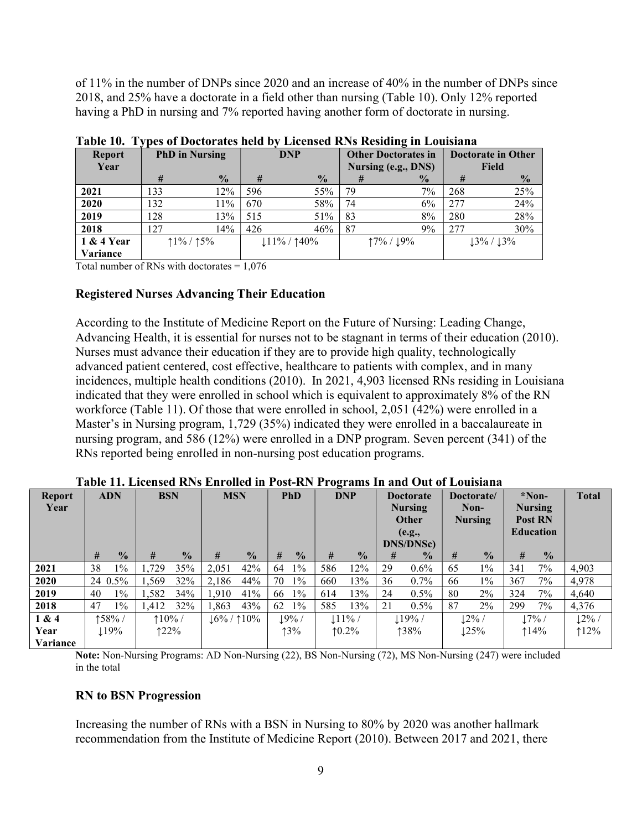of 11% in the number of DNPs since 2020 and an increase of 40% in the number of DNPs since 2018, and 25% have a doctorate in a field other than nursing (Table 10). Only 12% reported having a PhD in nursing and 7% reported having another form of doctorate in nursing.

| TUDIO TAL     | T TRUS OF D'OCLOI ALLES HUILLES T<br><b>EXCHIPLE TO INCREASE IN EQUIPMENT</b> |               |     |               |    |                            |                           |               |  |
|---------------|-------------------------------------------------------------------------------|---------------|-----|---------------|----|----------------------------|---------------------------|---------------|--|
| <b>Report</b> | <b>PhD</b> in Nursing                                                         |               |     | <b>DNP</b>    |    | <b>Other Doctorates in</b> | <b>Doctorate in Other</b> |               |  |
| Year          |                                                                               |               |     |               |    | Nursing (e.g., DNS)        | Field                     |               |  |
|               | #                                                                             | $\frac{1}{2}$ | #   | $\frac{1}{2}$ |    | $\frac{1}{2}$              | #                         | $\frac{0}{0}$ |  |
| 2021          | 133                                                                           | 12%           | 596 | 55%           | 79 | $7\%$                      | 268                       | 25%           |  |
| 2020          | 132                                                                           | 11%           | 670 | 58%           | 74 | 6%                         | 277                       | 24%           |  |
| 2019          | 128                                                                           | 13%           | 515 | 51%           | 83 | 8%                         | 280                       | 28%           |  |
| 2018          | 127                                                                           | 14%           | 426 | 46%           | 87 | 9%                         | 277                       | 30%           |  |
| 1 & 4 Year    |                                                                               | $1\% / 15\%$  |     | $11\%$ / 140% |    | $17\% / 19\%$              |                           | $13\% / 13\%$ |  |
| Variance      |                                                                               |               |     |               |    |                            |                           |               |  |

Table 10. Types of Doctorates held by Licensed RNs Residing in Louisiana

Total number of RNs with doctorates  $= 1,076$ 

#### Registered Nurses Advancing Their Education

According to the Institute of Medicine Report on the Future of Nursing: Leading Change, Advancing Health, it is essential for nurses not to be stagnant in terms of their education (2010). Nurses must advance their education if they are to provide high quality, technologically advanced patient centered, cost effective, healthcare to patients with complex, and in many incidences, multiple health conditions (2010). In 2021, 4,903 licensed RNs residing in Louisiana indicated that they were enrolled in school which is equivalent to approximately 8% of the RN workforce (Table 11). Of those that were enrolled in school, 2,051 (42%) were enrolled in a Master's in Nursing program, 1,729 (35%) indicated they were enrolled in a baccalaureate in nursing program, and 586 (12%) were enrolled in a DNP program. Seven percent (341) of the RNs reported being enrolled in non-nursing post education programs.

| <b>Report</b><br>Year |    | <b>ADN</b>    | <b>BSN</b> |               | <b>MSN</b> |               |    | <b>PhD</b>    | 0   | <b>DNP</b>    | <b>Doctorate</b><br><b>Nursing</b><br><b>Other</b><br>(e.g.,<br><b>DNS/DNSc)</b> |               |    | Doctorate/<br>Non-<br><b>Nursing</b> |     | $*Non-$<br><b>Nursing</b><br><b>Post RN</b><br><b>Education</b> | <b>Total</b> |
|-----------------------|----|---------------|------------|---------------|------------|---------------|----|---------------|-----|---------------|----------------------------------------------------------------------------------|---------------|----|--------------------------------------|-----|-----------------------------------------------------------------|--------------|
|                       | #  | $\frac{0}{0}$ | #          | $\frac{0}{0}$ | #          | $\frac{0}{0}$ | #  | $\frac{0}{0}$ | #   | $\frac{0}{0}$ | #                                                                                | $\frac{0}{2}$ | #  | $\frac{0}{0}$                        | #   | $\frac{1}{2}$                                                   |              |
| 2021                  | 38 | $1\%$         | ,729       | 35%           | 2,051      | 42%           | 64 | $1\%$         | 586 | 12%           | 29                                                                               | $0.6\%$       | 65 | $1\%$                                | 341 | 7%                                                              | 4,903        |
| 2020                  |    | 24 0.5%       | 1,569      | 32%           | 2,186      | 44%           | 70 | $1\%$         | 660 | 13%           | 36                                                                               | 0.7%          | 66 | $1\%$                                | 367 | $7\%$                                                           | 4,978        |
| 2019                  | 40 | $1\%$         | 1,582      | 34%           | 1,910      | 41%           | 66 | $1\%$         | 614 | 13%           | 24                                                                               | $0.5\%$       | 80 | $2\%$                                | 324 | 7%                                                              | 4,640        |
| 2018                  | 47 | $1\%$         | 1,412      | 32%           | 1,863      | 43%           | 62 | $1\%$         | 585 | 13%           | 21                                                                               | $0.5\%$       | 87 | $2\%$                                | 299 | 7%                                                              | 4,376        |
| 1 & 4                 |    | 158%/         | $110\%$ /  |               |            | $16\%$ / 10%  |    | 19%           |     | $11\%$ /      |                                                                                  | 119%          |    | $12\%$ /                             |     | 17%                                                             | $12\%$ /     |
| Year                  |    | 119%          | 122%       |               |            |               |    | 13%           |     | $10.2\%$      |                                                                                  | 138%          |    | 125%                                 |     | 14%                                                             | 12%          |
| Variance              |    |               |            |               |            |               |    |               |     |               |                                                                                  |               |    |                                      |     |                                                                 |              |

Table 11. Licensed RNs Enrolled in Post-RN Programs In and Out of Louisiana

Note: Non-Nursing Programs: AD Non-Nursing (22), BS Non-Nursing (72), MS Non-Nursing (247) were included in the total

#### RN to BSN Progression

Increasing the number of RNs with a BSN in Nursing to 80% by 2020 was another hallmark recommendation from the Institute of Medicine Report (2010). Between 2017 and 2021, there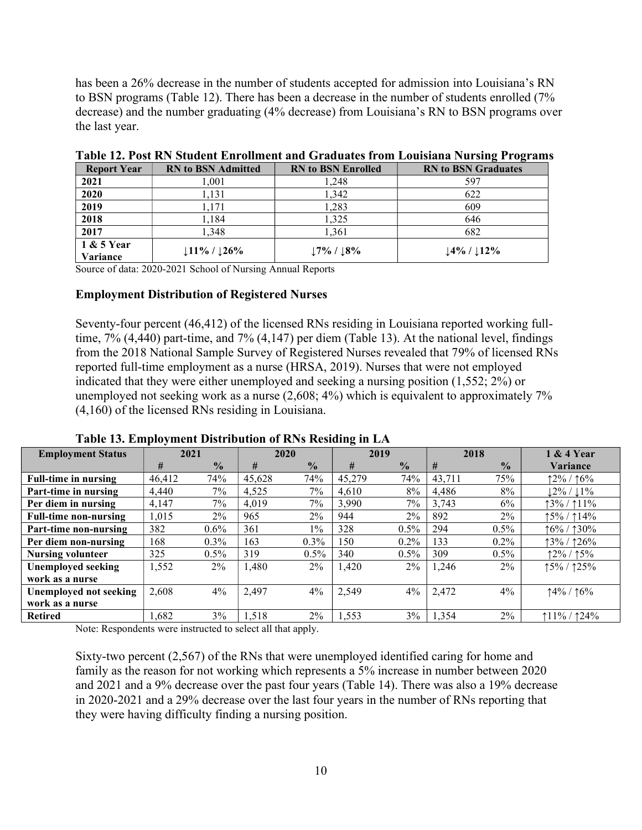has been a 26% decrease in the number of students accepted for admission into Louisiana's RN to BSN programs (Table 12). There has been a decrease in the number of students enrolled (7% decrease) and the number graduating (4% decrease) from Louisiana's RN to BSN programs over the last year.

| <b>Report Year</b>     | <b>RN</b> to BSN Admitted           | <b>RN</b> to BSN Enrolled         | <b>RN</b> to BSN Graduates         |
|------------------------|-------------------------------------|-----------------------------------|------------------------------------|
| 2021                   | 1,001                               | 1.248                             | 597                                |
| 2020                   | 1,131                               | 1,342                             | 622                                |
| 2019                   | 1,171                               | 1,283                             | 609                                |
| 2018                   | 1,184                               | 1,325                             | 646                                |
| 2017                   | 1.348                               | 1.361                             | 682                                |
| 1 & 5 Year<br>Variance | $\downarrow$ 11% / $\downarrow$ 26% | $\downarrow$ 7% / $\downarrow$ 8% | $\downarrow$ 4% / $\downarrow$ 12% |

Table 12. Post RN Student Enrollment and Graduates from Louisiana Nursing Programs

Source of data: 2020-2021 School of Nursing Annual Reports

#### Employment Distribution of Registered Nurses

Seventy-four percent (46,412) of the licensed RNs residing in Louisiana reported working fulltime, 7% (4,440) part-time, and 7% (4,147) per diem (Table 13). At the national level, findings from the 2018 National Sample Survey of Registered Nurses revealed that 79% of licensed RNs reported full-time employment as a nurse (HRSA, 2019). Nurses that were not employed indicated that they were either unemployed and seeking a nursing position (1,552; 2%) or unemployed not seeking work as a nurse (2,608; 4%) which is equivalent to approximately 7% (4,160) of the licensed RNs residing in Louisiana.

| <b>Employment Status</b>     |        | 2021          |        | 2020          |        | 2019          |        | 2018          | 1 & 4 Year       |
|------------------------------|--------|---------------|--------|---------------|--------|---------------|--------|---------------|------------------|
|                              | #      | $\frac{0}{0}$ | #      | $\frac{1}{2}$ | #      | $\frac{0}{0}$ | #      | $\frac{1}{2}$ | Variance         |
| <b>Full-time in nursing</b>  | 46.412 | 74%           | 45,628 | 74%           | 45,279 | 74%           | 43,711 | 75%           | $12\% / 16\%$    |
| Part-time in nursing         | 4.440  | 7%            | 4,525  | 7%            | 4.610  | 8%            | 4,486  | 8%            | $12\%$ / $11\%$  |
| Per diem in nursing          | 4,147  | 7%            | 4,019  | 7%            | 3,990  | $7\%$         | 3,743  | $6\%$         | $13\%$ / 111%    |
| <b>Full-time non-nursing</b> | ,015   | 2%            | 965    | $2\%$         | 944    | 2%            | 892    | $2\%$         | $15\%$ / $14\%$  |
| Part-time non-nursing        | 382    | $0.6\%$       | 361    | $1\%$         | 328    | 0.5%          | 294    | $0.5\%$       | 16% / 130%       |
| Per diem non-nursing         | 168    | $0.3\%$       | 163    | $0.3\%$       | 150    | $0.2\%$       | 133    | $0.2\%$       | $13\%$ / $126\%$ |
| <b>Nursing volunteer</b>     | 325    | $0.5\%$       | 319    | $0.5\%$       | 340    | $0.5\%$       | 309    | $0.5\%$       | $12\% / 15\%$    |
| <b>Unemployed seeking</b>    | .552   | $2\%$         | 1,480  | $2\%$         | 1,420  | $2\%$         | 1,246  | $2\%$         | $15\%$ / $125\%$ |
| work as a nurse              |        |               |        |               |        |               |        |               |                  |
| Unemployed not seeking       | 2,608  | 4%            | 2,497  | 4%            | 2,549  | 4%            | 2,472  | $4\%$         | $14\% / 16\%$    |
| work as a nurse              |        |               |        |               |        |               |        |               |                  |
| <b>Retired</b>               | .682   | 3%            | 1,518  | $2\%$         | 1,553  | 3%            | 1,354  | $2\%$         | $11\% / 124\%$   |

Table 13. Employment Distribution of RNs Residing in LA

Note: Respondents were instructed to select all that apply.

Sixty-two percent (2,567) of the RNs that were unemployed identified caring for home and family as the reason for not working which represents a 5% increase in number between 2020 and 2021 and a 9% decrease over the past four years (Table 14). There was also a 19% decrease in 2020-2021 and a 29% decrease over the last four years in the number of RNs reporting that they were having difficulty finding a nursing position.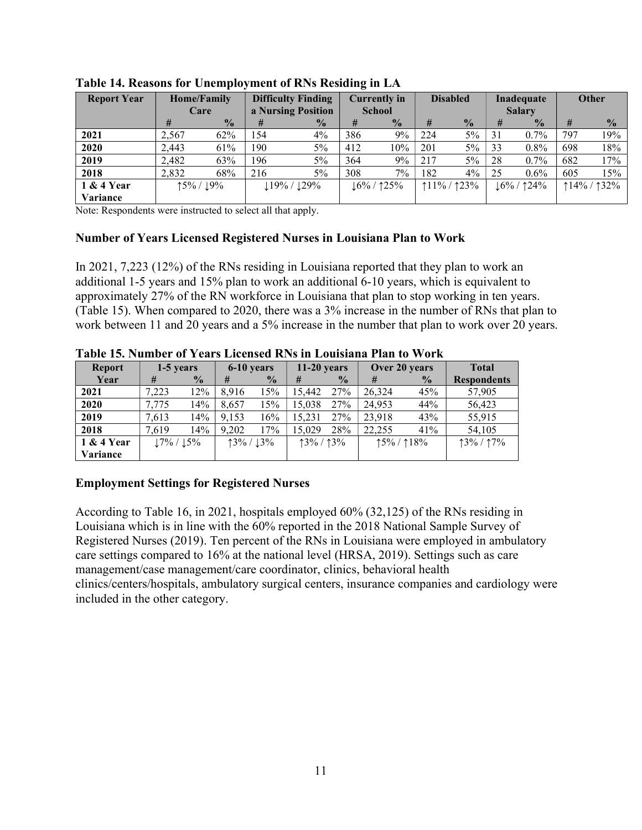| <b>Report Year</b> |       | <b>Home/Family</b> |                    | <b>Difficulty Finding</b> |               | <b>Currently in</b> |     | <b>Disabled</b> | Inadequate    |                              | <b>Other</b> |                |
|--------------------|-------|--------------------|--------------------|---------------------------|---------------|---------------------|-----|-----------------|---------------|------------------------------|--------------|----------------|
|                    |       | Care               | a Nursing Position |                           | <b>School</b> |                     |     |                 | <b>Salary</b> |                              |              |                |
|                    | #     | $\frac{0}{0}$      | #                  | $\frac{0}{0}$             | #             | $\frac{0}{2}$       | #   | $\frac{0}{0}$   | #             | $\frac{1}{2}$                | #            | $\frac{0}{0}$  |
| 2021               | 2,567 | 62%                | 154                | $4\%$                     | 386           | 9%                  | 224 | 5%              | 31            | $0.7\%$                      | 797          | 19%            |
| 2020               | 2,443 | 61%                | 190                | 5%                        | 412           | 10%                 | 201 | 5%              | 33            | $0.8\%$                      | 698          | 18%            |
| 2019               | 2,482 | 63%                | 196                | 5%                        | 364           | 9%                  | 217 | $5\%$           | 28            | $0.7\%$                      | 682          | 17%            |
| 2018               | 2,832 | 68%                | 216                | $5\%$                     | 308           | $7\%$               | 182 | $4\%$           | 25            | $0.6\%$                      | 605          | 15%            |
| 1 & 4 Year         |       | $15\% / 19\%$      |                    | $119\%$ / $129\%$         |               | $16\%$ / 125%       |     | $11\% / 123\%$  |               | $124\%$<br>$\downarrow$ 6% . |              | $114\%$ / 132% |
| Variance           |       |                    |                    |                           |               |                     |     |                 |               |                              |              |                |

|  |  |  |  |  |  |  |  | Table 14. Reasons for Unemployment of RNs Residing in LA |  |
|--|--|--|--|--|--|--|--|----------------------------------------------------------|--|
|--|--|--|--|--|--|--|--|----------------------------------------------------------|--|

Note: Respondents were instructed to select all that apply.

## Number of Years Licensed Registered Nurses in Louisiana Plan to Work

In 2021, 7,223 (12%) of the RNs residing in Louisiana reported that they plan to work an additional 1-5 years and 15% plan to work an additional 6-10 years, which is equivalent to approximately 27% of the RN workforce in Louisiana that plan to stop working in ten years. (Table 15). When compared to 2020, there was a 3% increase in the number of RNs that plan to work between 11 and 20 years and a 5% increase in the number that plan to work over 20 years.

| <b>Report</b> | 1-5 years     |               |               | 6-10 years    |               | $11-20$ years | Over 20 years |               | <b>Total</b>       |
|---------------|---------------|---------------|---------------|---------------|---------------|---------------|---------------|---------------|--------------------|
| Year          | #             | $\frac{0}{0}$ | #             | $\frac{0}{0}$ | #             | $\frac{6}{9}$ | #             | $\frac{0}{0}$ | <b>Respondents</b> |
| 2021          | 7.223         | 12%           | 8.916         | 15%           | 15,442        | 27%           | 26,324        | 45%           | 57,905             |
| 2020          | 7,775         | 14%           | 8,657         | 15%           | 15,038        | 27%           | 24,953        | 44%           | 56,423             |
| 2019          | 7,613         | 14%           | 9,153         | 16%           | 15.231        | 27%           | 23,918        | 43%           | 55,915             |
| 2018          | 7.619         | 14%           | 9.202         | 17%           | 15.029        | 28%           | 22,255        | 41%           | 54,105             |
| 1 & 4 Year    | $17\% / 15\%$ |               | $13\% / 13\%$ |               | $13\% / 13\%$ |               | $15\% / 18\%$ |               | $13\% / 17\%$      |
| Variance      |               |               |               |               |               |               |               |               |                    |

Table 15. Number of Years Licensed RNs in Louisiana Plan to Work

# Employment Settings for Registered Nurses

According to Table 16, in 2021, hospitals employed 60% (32,125) of the RNs residing in Louisiana which is in line with the 60% reported in the 2018 National Sample Survey of Registered Nurses (2019). Ten percent of the RNs in Louisiana were employed in ambulatory care settings compared to 16% at the national level (HRSA, 2019). Settings such as care management/case management/care coordinator, clinics, behavioral health clinics/centers/hospitals, ambulatory surgical centers, insurance companies and cardiology were included in the other category.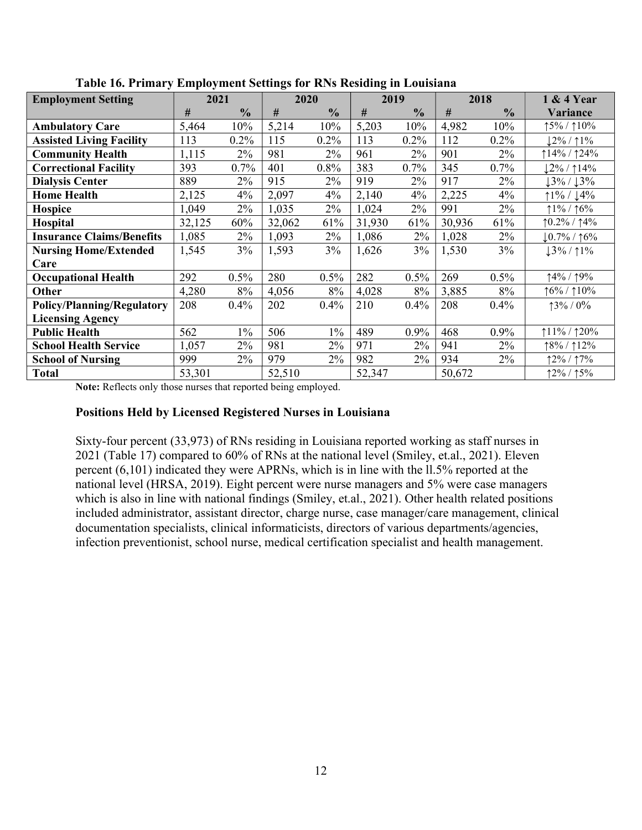| <b>Employment Setting</b>         | 2021   |               | 2020   |               | 2019   |               | 2018   |               | 1 & 4 Year                      |
|-----------------------------------|--------|---------------|--------|---------------|--------|---------------|--------|---------------|---------------------------------|
|                                   | #      | $\frac{0}{0}$ | #      | $\frac{0}{0}$ | #      | $\frac{0}{0}$ | #      | $\frac{0}{0}$ | Variance                        |
| <b>Ambulatory Care</b>            | 5,464  | 10%           | 5,214  | 10%           | 5,203  | 10%           | 4,982  | 10%           | $15\% / 10\%$                   |
| <b>Assisted Living Facility</b>   | 113    | 0.2%          | 115    | 0.2%          | 113    | 0.2%          | 112    | 0.2%          | $12\%$ / 11%                    |
| <b>Community Health</b>           | 1,115  | 2%            | 981    | $2\%$         | 961    | 2%            | 901    | 2%            | ↑14% / ↑24%                     |
| <b>Correctional Facility</b>      | 393    | 0.7%          | 401    | 0.8%          | 383    | 0.7%          | 345    | 0.7%          | $12\%$ / 114%                   |
| <b>Dialysis Center</b>            | 889    | 2%            | 915    | 2%            | 919    | 2%            | 917    | 2%            | $13\%$ / $13\%$                 |
| <b>Home Health</b>                | 2,125  | 4%            | 2,097  | 4%            | 2,140  | 4%            | 2,225  | 4%            | $1\% / \sqrt{4\%}$              |
| <b>Hospice</b>                    | 1,049  | 2%            | 1,035  | 2%            | 1,024  | 2%            | 991    | 2%            | $1\% / 16\%$                    |
| <b>Hospital</b>                   | 32,125 | 60%           | 32,062 | 61%           | 31,930 | 61%           | 30,936 | 61%           | $\uparrow$ 0.2% / $\uparrow$ 4% |
| <b>Insurance Claims/Benefits</b>  | 1,085  | 2%            | 1,093  | 2%            | 1,086  | 2%            | 1,028  | 2%            | $10.7\%$ / 16%                  |
| <b>Nursing Home/Extended</b>      | 1,545  | 3%            | 1,593  | 3%            | 1,626  | $3\%$         | 1,530  | $3\%$         | $13\%$ / 1%                     |
| Care                              |        |               |        |               |        |               |        |               |                                 |
| <b>Occupational Health</b>        | 292    | 0.5%          | 280    | 0.5%          | 282    | 0.5%          | 269    | 0.5%          | 14% / 19%                       |
| Other                             | 4,280  | 8%            | 4,056  | $8\%$         | 4,028  | 8%            | 3,885  | 8%            | $16\% / 10\%$                   |
| <b>Policy/Planning/Regulatory</b> | 208    | 0.4%          | 202    | 0.4%          | 210    | 0.4%          | 208    | 0.4%          | $13\% / 0\%$                    |
| <b>Licensing Agency</b>           |        |               |        |               |        |               |        |               |                                 |
| <b>Public Health</b>              | 562    | $1\%$         | 506    | $1\%$         | 489    | 0.9%          | 468    | 0.9%          | $11\%$ / $120\%$                |
| <b>School Health Service</b>      | 1,057  | 2%            | 981    | $2\%$         | 971    | 2%            | 941    | 2%            | $18\% / 12\%$                   |
| <b>School of Nursing</b>          | 999    | 2%            | 979    | $2\%$         | 982    | 2%            | 934    | $2\%$         | 12% / 17%                       |
| <b>Total</b>                      | 53,301 |               | 52,510 |               | 52,347 |               | 50,672 |               | $12\% / 15\%$                   |

Table 16. Primary Employment Settings for RNs Residing in Louisiana

Note: Reflects only those nurses that reported being employed.

#### Positions Held by Licensed Registered Nurses in Louisiana

Sixty-four percent (33,973) of RNs residing in Louisiana reported working as staff nurses in 2021 (Table 17) compared to 60% of RNs at the national level (Smiley, et.al., 2021). Eleven percent (6,101) indicated they were APRNs, which is in line with the ll.5% reported at the national level (HRSA, 2019). Eight percent were nurse managers and 5% were case managers which is also in line with national findings (Smiley, et.al., 2021). Other health related positions included administrator, assistant director, charge nurse, case manager/care management, clinical documentation specialists, clinical informaticists, directors of various departments/agencies, infection preventionist, school nurse, medical certification specialist and health management.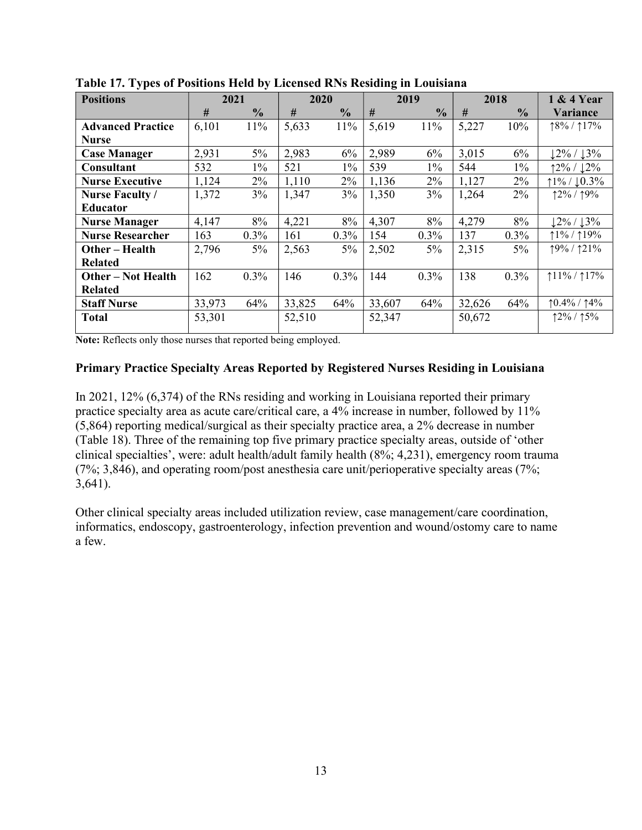| <b>Positions</b>         | 2021   |               | 2020   |               | 2019   |               | 2018   |               | 1 & 4 Year     |
|--------------------------|--------|---------------|--------|---------------|--------|---------------|--------|---------------|----------------|
|                          | #      | $\frac{6}{6}$ | #      | $\frac{0}{0}$ | #      | $\frac{0}{0}$ | #      | $\frac{1}{2}$ | Variance       |
| <b>Advanced Practice</b> | 6,101  | 11%           | 5,633  | $11\%$        | 5,619  | 11%           | 5,227  | 10%           | $18\% / 17\%$  |
| <b>Nurse</b>             |        |               |        |               |        |               |        |               |                |
| <b>Case Manager</b>      | 2,931  | $5\%$         | 2,983  | 6%            | 2,989  | 6%            | 3,015  | 6%            | $12\% / 13\%$  |
| Consultant               | 532    | $1\%$         | 521    | $1\%$         | 539    | $1\%$         | 544    | $1\%$         | $12\% / 12\%$  |
| <b>Nurse Executive</b>   | 1,124  | $2\%$         | 1,110  | 2%            | 1,136  | 2%            | 1,127  | 2%            | $1\% / 10.3\%$ |
| <b>Nurse Faculty /</b>   | 1,372  | 3%            | 1,347  | $3\%$         | 1,350  | 3%            | 1,264  | 2%            | 12% / 19%      |
| <b>Educator</b>          |        |               |        |               |        |               |        |               |                |
| <b>Nurse Manager</b>     | 4,147  | 8%            | 4,221  | 8%            | 4,307  | 8%            | 4,279  | 8%            | $12\% / 13\%$  |
| <b>Nurse Researcher</b>  | 163    | 0.3%          | 161    | $0.3\%$       | 154    | $0.3\%$       | 137    | 0.3%          | $1\% / 19\%$   |
| Other - Health           | 2,796  | $5\%$         | 2,563  | $5\%$         | 2,502  | 5%            | 2,315  | $5\%$         | $19\% / 121\%$ |
| <b>Related</b>           |        |               |        |               |        |               |        |               |                |
| <b>Other-Not Health</b>  | 162    | 0.3%          | 146    | $0.3\%$       | 144    | 0.3%          | 138    | 0.3%          | $11\% / 17\%$  |
| <b>Related</b>           |        |               |        |               |        |               |        |               |                |
| <b>Staff Nurse</b>       | 33,973 | 64%           | 33,825 | 64%           | 33,607 | 64%           | 32,626 | 64%           | $10.4\%$ / 14% |
| <b>Total</b>             | 53,301 |               | 52,510 |               | 52,347 |               | 50,672 |               | $12\% / 15\%$  |

Table 17. Types of Positions Held by Licensed RNs Residing in Louisiana

Note: Reflects only those nurses that reported being employed.

## Primary Practice Specialty Areas Reported by Registered Nurses Residing in Louisiana

In 2021, 12% (6,374) of the RNs residing and working in Louisiana reported their primary practice specialty area as acute care/critical care, a 4% increase in number, followed by 11% (5,864) reporting medical/surgical as their specialty practice area, a 2% decrease in number (Table 18). Three of the remaining top five primary practice specialty areas, outside of 'other clinical specialties', were: adult health/adult family health (8%; 4,231), emergency room trauma (7%; 3,846), and operating room/post anesthesia care unit/perioperative specialty areas (7%; 3,641).

Other clinical specialty areas included utilization review, case management/care coordination, informatics, endoscopy, gastroenterology, infection prevention and wound/ostomy care to name a few.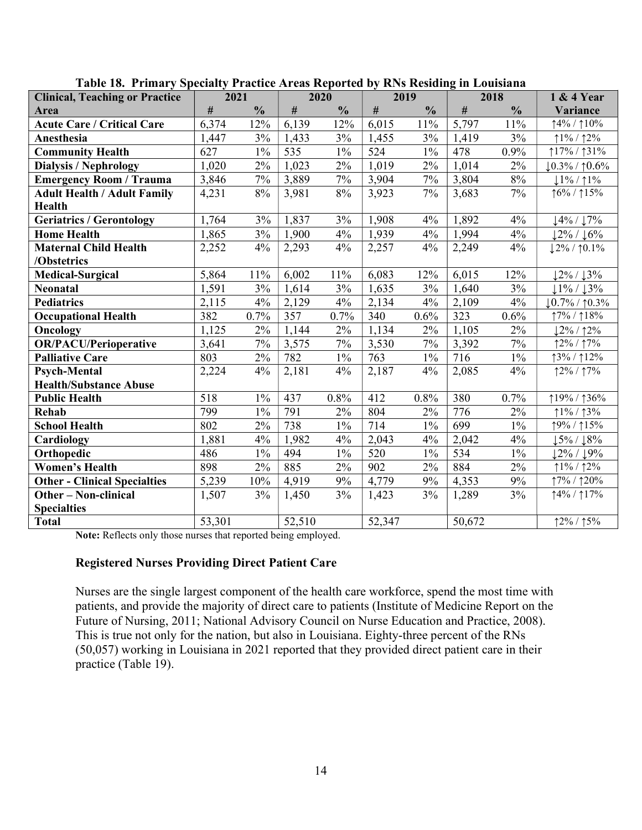| <b>Clinical, Teaching or Practice</b> | 2021   |               | 2020             |               | 2019   |               | 2018   |               | 1 & 4 Year       |
|---------------------------------------|--------|---------------|------------------|---------------|--------|---------------|--------|---------------|------------------|
| Area                                  | $\#$   | $\frac{0}{0}$ | $\#$             | $\frac{0}{0}$ | $\#$   | $\frac{0}{0}$ | $\#$   | $\frac{0}{0}$ | Variance         |
| <b>Acute Care / Critical Care</b>     | 6,374  | 12%           | 6,139            | 12%           | 6,015  | 11%           | 5,797  | 11%           | 14% / 110%       |
| Anesthesia                            | 1,447  | 3%            | 1,433            | 3%            | 1,455  | 3%            | 1,419  | 3%            | $1\% / 12\%$     |
| <b>Community Health</b>               | 627    | $1\%$         | 535              | $1\%$         | 524    | $1\%$         | 478    | 0.9%          | $17\% / 131\%$   |
| <b>Dialysis / Nephrology</b>          | 1,020  | 2%            | 1,023            | 2%            | 1,019  | 2%            | 1,014  | 2%            | $10.3\%$ / 10.6% |
| <b>Emergency Room / Trauma</b>        | 3,846  | 7%            | 3,889            | 7%            | 3,904  | 7%            | 3,804  | 8%            | $1\% / 1\%$      |
| <b>Adult Health / Adult Family</b>    | 4,231  | 8%            | 3,981            | $8\%$         | 3,923  | 7%            | 3,683  | 7%            | $16\% / 115\%$   |
| Health                                |        |               |                  |               |        |               |        |               |                  |
| <b>Geriatrics / Gerontology</b>       | 1,764  | 3%            | 1,837            | 3%            | 1,908  | 4%            | 1,892  | 4%            | $14\%$ / $17\%$  |
| <b>Home Health</b>                    | 1,865  | 3%            | 1,900            | 4%            | 1,939  | $4\%$         | 1,994  | 4%            | $12\% / 16\%$    |
| <b>Maternal Child Health</b>          | 2,252  | 4%            | 2,293            | 4%            | 2,257  | 4%            | 2,249  | 4%            | $12\%$ / 10.1%   |
| /Obstetrics                           |        |               |                  |               |        |               |        |               |                  |
| <b>Medical-Surgical</b>               | 5,864  | 11%           | 6,002            | 11%           | 6,083  | 12%           | 6,015  | 12%           | $12\%$ / $13\%$  |
| <b>Neonatal</b>                       | 1,591  | 3%            | 1,614            | 3%            | 1,635  | 3%            | 1,640  | 3%            | $1\% / 13\%$     |
| <b>Pediatrics</b>                     | 2,115  | 4%            | 2,129            | 4%            | 2,134  | 4%            | 2,109  | 4%            | $10.7\%$ / 10.3% |
| <b>Occupational Health</b>            | 382    | 0.7%          | $\overline{357}$ | 0.7%          | 340    | 0.6%          | 323    | 0.6%          | 17% / 118%       |
| Oncology                              | 1,125  | 2%            | 1,144            | 2%            | 1,134  | 2%            | 1,105  | 2%            | $12\%$ / 12%     |
| <b>OR/PACU/Perioperative</b>          | 3,641  | 7%            | 3,575            | 7%            | 3,530  | 7%            | 3,392  | 7%            | $12\% / 17\%$    |
| <b>Palliative Care</b>                | 803    | 2%            | 782              | $1\%$         | 763    | $1\%$         | 716    | $1\%$         | 13%/112%         |
| <b>Psych-Mental</b>                   | 2,224  | 4%            | 2,181            | 4%            | 2,187  | 4%            | 2,085  | 4%            | $12\% / 17\%$    |
| <b>Health/Substance Abuse</b>         |        |               |                  |               |        |               |        |               |                  |
| <b>Public Health</b>                  | 518    | $1\%$         | 437              | 0.8%          | 412    | 0.8%          | 380    | 0.7%          | ↑19% / ↑36%      |
| Rehab                                 | 799    | $1\%$         | 791              | 2%            | 804    | 2%            | 776    | 2%            | $1\% / 13\%$     |
| <b>School Health</b>                  | 802    | 2%            | 738              | $1\%$         | 714    | $1\%$         | 699    | $1\%$         | 19% / 115%       |
| Cardiology                            | 1,881  | 4%            | 1,982            | 4%            | 2,043  | 4%            | 2,042  | 4%            | $15\%$ / $18\%$  |
| Orthopedic                            | 486    | $1\%$         | 494              | $1\%$         | 520    | $1\%$         | 534    | $1\%$         | $12\% / 19\%$    |
| <b>Women's Health</b>                 | 898    | 2%            | 885              | 2%            | 902    | $2\%$         | 884    | 2%            | $1\% / 12\%$     |
| <b>Other - Clinical Specialties</b>   | 5,239  | 10%           | 4,919            | 9%            | 4,779  | 9%            | 4,353  | $9\%$         | 17% / 120%       |
| <b>Other-Non-clinical</b>             | 1,507  | 3%            | 1,450            | 3%            | 1,423  | 3%            | 1,289  | 3%            | 14% / 117%       |
| <b>Specialties</b>                    |        |               |                  |               |        |               |        |               |                  |
| <b>Total</b>                          | 53,301 |               | 52,510           |               | 52,347 |               | 50,672 |               | $12\% / 15\%$    |

## Table 18. Primary Specialty Practice Areas Reported by RNs Residing in Louisiana

Note: Reflects only those nurses that reported being employed.

## Registered Nurses Providing Direct Patient Care

Nurses are the single largest component of the health care workforce, spend the most time with patients, and provide the majority of direct care to patients (Institute of Medicine Report on the Future of Nursing, 2011; National Advisory Council on Nurse Education and Practice, 2008). This is true not only for the nation, but also in Louisiana. Eighty-three percent of the RNs (50,057) working in Louisiana in 2021 reported that they provided direct patient care in their practice (Table 19).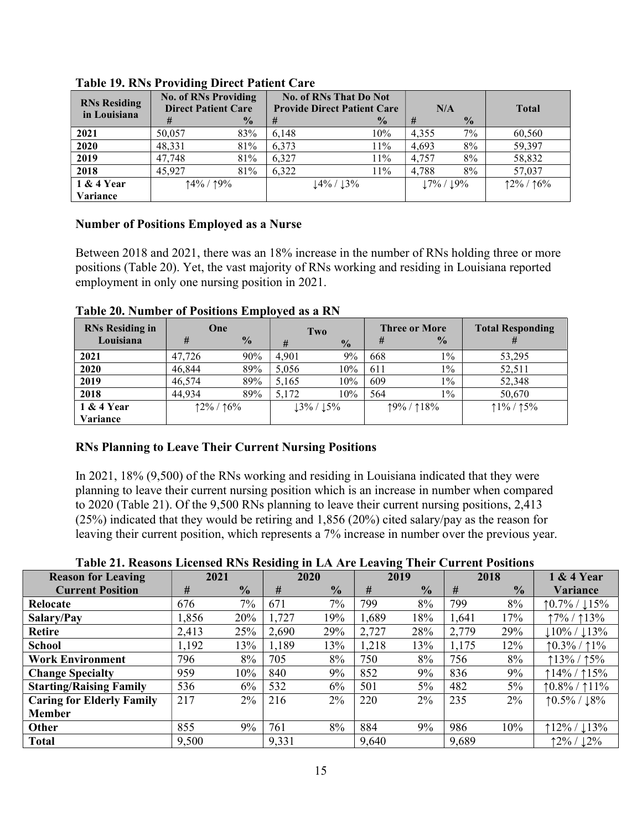| <b>RNs Residing</b> | <b>No. of RNs Providing</b><br><b>Direct Patient Care</b> |               |       | <b>No. of RNs That Do Not</b><br><b>Provide Direct Patient Care</b> | N/A           |               | <b>Total</b>  |
|---------------------|-----------------------------------------------------------|---------------|-------|---------------------------------------------------------------------|---------------|---------------|---------------|
| in Louisiana        | #                                                         | $\frac{0}{0}$ | #     | $\frac{0}{0}$                                                       | #             | $\frac{0}{0}$ |               |
| 2021                | 50,057                                                    | 83%           | 6,148 | 10%                                                                 | 4.355         | 7%            | 60,560        |
| 2020                | 48,331                                                    | 81%           | 6,373 | 11%                                                                 | 4,693         | 8%            | 59,397        |
| 2019                | 47,748                                                    | 81%           | 6,327 | 11%                                                                 | 4.757         | 8%            | 58,832        |
| 2018                | 45,927                                                    | 81%           | 6.322 | 11%                                                                 | 4.788         | 8%            | 57,037        |
| 1 & 4 Year          | $14\% / 19\%$                                             |               |       | $14\% / 13\%$                                                       | $17\% / 19\%$ |               | $12\% / 16\%$ |
| Variance            |                                                           |               |       |                                                                     |               |               |               |

Table 19. RNs Providing Direct Patient Care

#### Number of Positions Employed as a Nurse

Between 2018 and 2021, there was an 18% increase in the number of RNs holding three or more positions (Table 20). Yet, the vast majority of RNs working and residing in Louisiana reported employment in only one nursing position in 2021.

| <b>RNs Residing in</b> | One           |               |       | Two           |     | <b>Three or More</b> | <b>Total Responding</b> |  |  |
|------------------------|---------------|---------------|-------|---------------|-----|----------------------|-------------------------|--|--|
| Louisiana              | #             | $\frac{0}{2}$ | #     | $\frac{0}{0}$ | #   | $\frac{0}{0}$        | #                       |  |  |
| 2021                   | 47,726        | 90%           | 4.901 | 9%            | 668 | $1\%$                | 53,295                  |  |  |
| 2020                   | 46,844        | 89%           | 5.056 | 10%           | 611 | $1\%$                | 52.511                  |  |  |
| 2019                   | 46,574        | 89%           | 5,165 | 10%           | 609 | $1\%$                | 52,348                  |  |  |
| 2018                   | 44.934        | 89%           | 5.172 | 10%           | 564 | $1\%$                | 50,670                  |  |  |
| 1 & 4 Year             | $12\% / 16\%$ |               |       | $13\% / 15\%$ |     | 19%/118%             | $1\% / 15\%$            |  |  |
| Variance               |               |               |       |               |     |                      |                         |  |  |

## Table 20. Number of Positions Employed as a RN

## RNs Planning to Leave Their Current Nursing Positions

In 2021, 18% (9,500) of the RNs working and residing in Louisiana indicated that they were planning to leave their current nursing position which is an increase in number when compared to 2020 (Table 21). Of the 9,500 RNs planning to leave their current nursing positions, 2,413 (25%) indicated that they would be retiring and 1,856 (20%) cited salary/pay as the reason for leaving their current position, which represents a 7% increase in number over the previous year.

#### Table 21. Reasons Licensed RNs Residing in LA Are Leaving Their Current Positions

| <b>Reason for Leaving</b>        |       | 2021          | $\overline{ }$ | 2020          |       | $\overline{ }$<br>2019 |       | 2018          | 1 & 4 Year                     |
|----------------------------------|-------|---------------|----------------|---------------|-------|------------------------|-------|---------------|--------------------------------|
| <b>Current Position</b>          | #     | $\frac{0}{0}$ | #              | $\frac{0}{0}$ | #     | $\frac{0}{0}$          | #     | $\frac{0}{0}$ | Variance                       |
| Relocate                         | 676   | 7%            | 671            | 7%            | 799   | 8%                     | 799   | 8%            | $10.7\% / 15\%$                |
| Salary/Pay                       | 1,856 | 20%           | 1,727          | 19%           | 1,689 | 18%                    | 1,641 | 17%           | $\uparrow$ 7% / $\uparrow$ 13% |
| <b>Retire</b>                    | 2,413 | 25%           | 2,690          | 29%           | 2,727 | 28%                    | 2,779 | 29%           | $110\% / 13\%$                 |
| <b>School</b>                    | 1,192 | 13%           | 1,189          | 13%           | 1,218 | 13%                    | 1,175 | 12%           | $10.3\% / 1\%$                 |
| <b>Work Environment</b>          | 796   | 8%            | 705            | 8%            | 750   | 8%                     | 756   | 8%            | $13\% / 15\%$                  |
| <b>Change Specialty</b>          | 959   | 10%           | 840            | 9%            | 852   | 9%                     | 836   | 9%            | $14\%$ / $15\%$                |
| <b>Starting/Raising Family</b>   | 536   | 6%            | 532            | 6%            | 501   | $5\%$                  | 482   | $5\%$         | $10.8\% / 11\%$                |
| <b>Caring for Elderly Family</b> | 217   | 2%            | 216            | 2%            | 220   | $2\%$                  | 235   | 2%            | $10.5\% / 18\%$                |
| <b>Member</b>                    |       |               |                |               |       |                        |       |               |                                |
| Other                            | 855   | $9\%$         | 761            | 8%            | 884   | 9%                     | 986   | 10%           | $12\% / 13\%$                  |
| <b>Total</b>                     | 9,500 |               | 9,331          |               | 9,640 |                        | 9,689 |               | $12\% / 12\%$                  |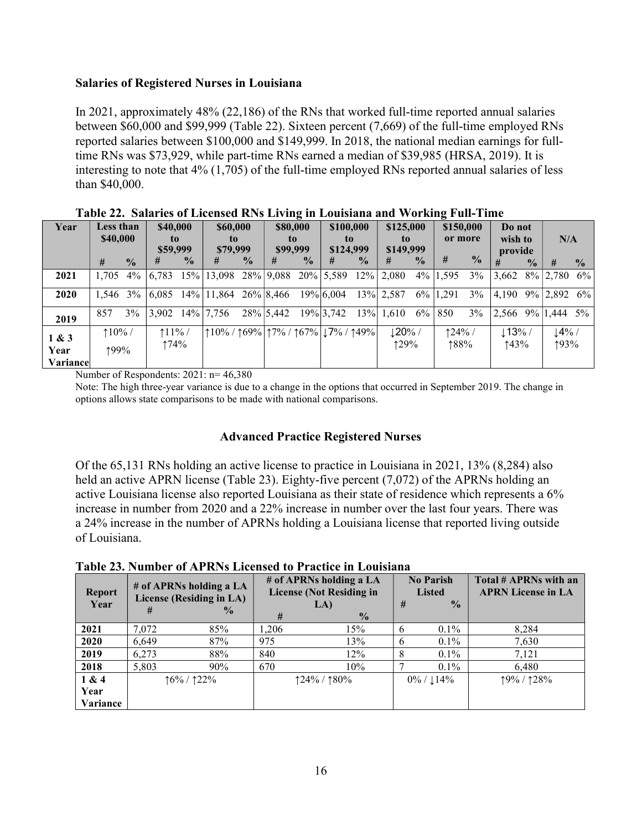## Salaries of Registered Nurses in Louisiana

In 2021, approximately 48% (22,186) of the RNs that worked full-time reported annual salaries between \$60,000 and \$99,999 (Table 22). Sixteen percent (7,669) of the full-time employed RNs reported salaries between \$100,000 and \$149,999. In 2018, the national median earnings for fulltime RNs was \$73,929, while part-time RNs earned a median of \$39,985 (HRSA, 2019). It is interesting to note that 4% (1,705) of the full-time employed RNs reported annual salaries of less than \$40,000.

|          |               | Tavit 22. Daiarits of Ekthota Revised Bridge in Equisiana and Working Fun-Filmt |                  |               |                                                                                                 |               |            |               |           |               |                   |               |                   |               |                                                                                        |               |                  |               |
|----------|---------------|---------------------------------------------------------------------------------|------------------|---------------|-------------------------------------------------------------------------------------------------|---------------|------------|---------------|-----------|---------------|-------------------|---------------|-------------------|---------------|----------------------------------------------------------------------------------------|---------------|------------------|---------------|
| Year     | Less than     |                                                                                 | \$40,000         |               | \$60,000                                                                                        |               |            | \$80,000      | \$100,000 |               | \$125,000         |               |                   | \$150,000     | Do not                                                                                 |               |                  |               |
|          | \$40,000      |                                                                                 | to.              |               | to                                                                                              |               |            | to.           |           | to.           | to.               |               | or more           |               | wish to                                                                                |               | N/A              |               |
|          |               |                                                                                 | \$59,999         |               | \$79,999                                                                                        |               |            | \$99,999      | \$124,999 |               | \$149,999         |               |                   |               | provide                                                                                |               |                  |               |
|          | #             | $\frac{1}{2}$                                                                   | #                | $\frac{6}{9}$ | #                                                                                               | $\frac{6}{9}$ | #          | $\frac{0}{2}$ | #         | $\frac{0}{2}$ | #                 | $\frac{0}{0}$ | #                 | $\frac{0}{0}$ | #                                                                                      | $\frac{0}{2}$ | #                | $\frac{0}{0}$ |
| 2021     | 1,705         | $4\%$                                                                           | 6,783            |               | 15% 13,098 28% 9,088 20% 5,589 12% 2,080                                                        |               |            |               |           |               |                   |               | $4\%$ 1,595       | 3%            | $3,662$ 8% 2,780 6%                                                                    |               |                  |               |
| 2020     | $1.546 \t3\%$ |                                                                                 |                  |               |                                                                                                 |               |            |               |           |               |                   |               | $6\%$   1,291     | 3%            | 4,190                                                                                  |               | 9% 2.892 6%      |               |
| 2019     | 857           | $3\%$                                                                           |                  |               | 3.902 14% 7.756                                                                                 |               | 28\% 5.442 |               | 19% 3,742 |               | $13\%$ 1.610 6%   |               | 850               | 3%            | $\begin{array}{ c c c c c c c c } \hline 2.566 & 9\% & 1.444 & 5\% \hline \end{array}$ |               |                  |               |
| 1 & 3    | $10\%$ /      |                                                                                 | $11\%$ /<br>↑74% |               | $\uparrow$ 10% / $\uparrow$ 69% $\uparrow$ 7% / $\uparrow$ 67% $\downarrow$ 7% / $\uparrow$ 49% |               |            |               |           |               | $120\%$ /<br>129% |               | $124\%$ /<br>188% |               | $\downarrow$ 13% /<br>143%                                                             |               | $14\%$ /<br>193% |               |
| Year     | 199%          |                                                                                 |                  |               |                                                                                                 |               |            |               |           |               |                   |               |                   |               |                                                                                        |               |                  |               |
| Variance |               |                                                                                 |                  |               |                                                                                                 |               |            |               |           |               |                   |               |                   |               |                                                                                        |               |                  |               |

| Table 22. Salaries of Licensed RNs Living in Louisiana and Working Full-Time |  |  |  |  |  |  |  |
|------------------------------------------------------------------------------|--|--|--|--|--|--|--|
|                                                                              |  |  |  |  |  |  |  |

Number of Respondents: 2021: n= 46,380

Note: The high three-year variance is due to a change in the options that occurred in September 2019. The change in options allows state comparisons to be made with national comparisons.

## Advanced Practice Registered Nurses

Of the 65,131 RNs holding an active license to practice in Louisiana in 2021, 13% (8,284) also held an active APRN license (Table 23). Eighty-five percent (7,072) of the APRNs holding an active Louisiana license also reported Louisiana as their state of residence which represents a 6% increase in number from 2020 and a 22% increase in number over the last four years. There was a 24% increase in the number of APRNs holding a Louisiana license that reported living outside of Louisiana.

Table 23. Number of APRNs Licensed to Practice in Louisiana

| <b>Report</b><br>Year | #     | # of APRNs holding a LA<br>License (Residing in LA)<br>$\frac{0}{0}$ | #     | # of APRNs holding a LA<br><b>License (Not Residing in</b><br>LA)<br>$\frac{0}{0}$ | # | <b>No Parish</b><br>Listed<br>$\frac{0}{0}$ | Total # APRNs with an<br><b>APRN License in LA</b> |  |  |
|-----------------------|-------|----------------------------------------------------------------------|-------|------------------------------------------------------------------------------------|---|---------------------------------------------|----------------------------------------------------|--|--|
| 2021                  | 7.072 | 85%                                                                  | 1,206 | 15%                                                                                | 6 | $0.1\%$                                     | 8,284                                              |  |  |
| 2020                  | 6.649 | 87%                                                                  | 975   | 13%                                                                                | 6 | $0.1\%$                                     | 7,630                                              |  |  |
| 2019                  | 6,273 | 88%                                                                  | 840   | 12%                                                                                | 8 | $0.1\%$                                     | 7,121                                              |  |  |
| 2018                  | 5.803 | 90%                                                                  | 670   | 10%                                                                                |   | $0.1\%$                                     | 6,480                                              |  |  |
| 1 & 4                 |       | $16\%$ / $122\%$                                                     |       | $124\%$ / $180\%$                                                                  |   | $0\%$ / $\downarrow$ 14%                    | $19\%$ / $128\%$                                   |  |  |
| Year                  |       |                                                                      |       |                                                                                    |   |                                             |                                                    |  |  |
| Variance              |       |                                                                      |       |                                                                                    |   |                                             |                                                    |  |  |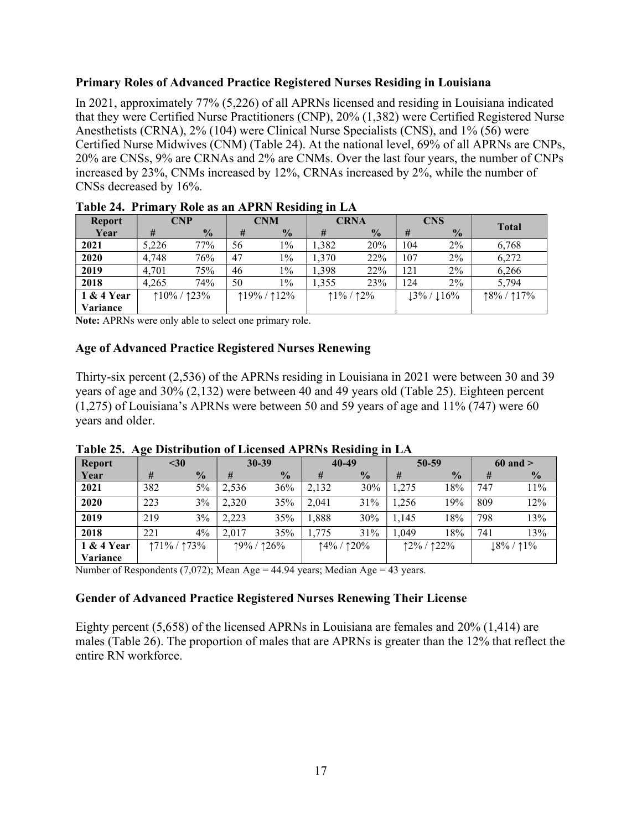## Primary Roles of Advanced Practice Registered Nurses Residing in Louisiana

In 2021, approximately 77% (5,226) of all APRNs licensed and residing in Louisiana indicated that they were Certified Nurse Practitioners (CNP), 20% (1,382) were Certified Registered Nurse Anesthetists (CRNA), 2% (104) were Clinical Nurse Specialists (CNS), and 1% (56) were Certified Nurse Midwives (CNM) (Table 24). At the national level, 69% of all APRNs are CNPs, 20% are CNSs, 9% are CRNAs and 2% are CNMs. Over the last four years, the number of CNPs increased by 23%, CNMs increased by 12%, CRNAs increased by 2%, while the number of CNSs decreased by 16%.

| $\ldots$        |               |               |               | Trole was will be a little vertically in East |              |               |              |                |               |
|-----------------|---------------|---------------|---------------|-----------------------------------------------|--------------|---------------|--------------|----------------|---------------|
| <b>Report</b>   |               | <b>CNP</b>    |               | <b>CNM</b>                                    |              | <b>CRNA</b>   |              | <b>CNS</b>     | <b>Total</b>  |
| Year            | #             | $\frac{0}{2}$ | #             | $\frac{0}{0}$                                 | #            | $\frac{0}{0}$ | #            | $\frac{0}{0}$  |               |
| 2021            | 5,226         | 77%           | 56            | $1\%$                                         | 1,382        | 20%           | 104          | $2\%$          | 6,768         |
| 2020            | 4.748         | 76%           | 47            | $1\%$                                         | 1,370        | 22%           | 107          | $2\%$          | 6,272         |
| 2019            | 4.701         | 75%           | $1\%$<br>46   |                                               | 1,398<br>22% |               | $2\%$<br>121 |                | 6,266         |
| 2018            | 4.265         | 74%           | 50            | $1\%$                                         | 1.355        | 23%           | 124          | $2\%$          | 5.794         |
| 1 & 4 Year      | $10\%$ / 123% |               | $19\% / 12\%$ |                                               | $11\%$ / 12% |               |              | $13\% / 116\%$ | $18\% / 17\%$ |
| <b>Variance</b> |               |               |               |                                               |              |               |              |                |               |

| Table 24. Primary Role as an APRN Residing in LA |  |  |
|--------------------------------------------------|--|--|
|--------------------------------------------------|--|--|

Note: APRNs were only able to select one primary role.

## Age of Advanced Practice Registered Nurses Renewing

Thirty-six percent (2,536) of the APRNs residing in Louisiana in 2021 were between 30 and 39 years of age and 30% (2,132) were between 40 and 49 years old (Table 25). Eighteen percent (1,275) of Louisiana's APRNs were between 50 and 59 years of age and 11% (747) were 60 years and older.

| <b>Report</b>   | $30$            |               |                  | $30 - 39$     |                  | 40-49         |       | 50-59          | $60$ and $>$ |               |  |
|-----------------|-----------------|---------------|------------------|---------------|------------------|---------------|-------|----------------|--------------|---------------|--|
| Year            | #               | $\frac{0}{0}$ | #                | $\frac{0}{0}$ | #                | $\frac{0}{0}$ | #     | $\frac{0}{2}$  | #            | $\frac{0}{0}$ |  |
| 2021            | 382             | $5\%$         | 2,536            | 36%           | 2,132            | 30%           | 1,275 | 18%            | 747          | 11%           |  |
| 2020            | 223             | 3%            | 2.320            | 35%           | 2.041            | 31%           | 1.256 | 19%            | 809          | 12%           |  |
| 2019            | 219             | 3%            | 2.223            | 35%           | 1.888            | 30%           | 1.145 | 18%            | 798          | 13%           |  |
| 2018            | 221             | $4\%$         | 2.017            | 35%           | 1,775            | 31%           | 1.049 | 18%            | 741          | 13%           |  |
| 1 & 4 Year      | $171\% / 173\%$ |               | $19\%$ / $126\%$ |               | $14\%$ / $120\%$ |               |       | $12\% / 122\%$ | $18\%$ / 1\% |               |  |
| <b>Variance</b> |                 |               |                  |               |                  |               |       |                |              |               |  |

Table 25. Age Distribution of Licensed APRNs Residing in LA

Number of Respondents (7,072); Mean Age = 44.94 years; Median Age = 43 years.

## Gender of Advanced Practice Registered Nurses Renewing Their License

Eighty percent (5,658) of the licensed APRNs in Louisiana are females and 20% (1,414) are males (Table 26). The proportion of males that are APRNs is greater than the 12% that reflect the entire RN workforce.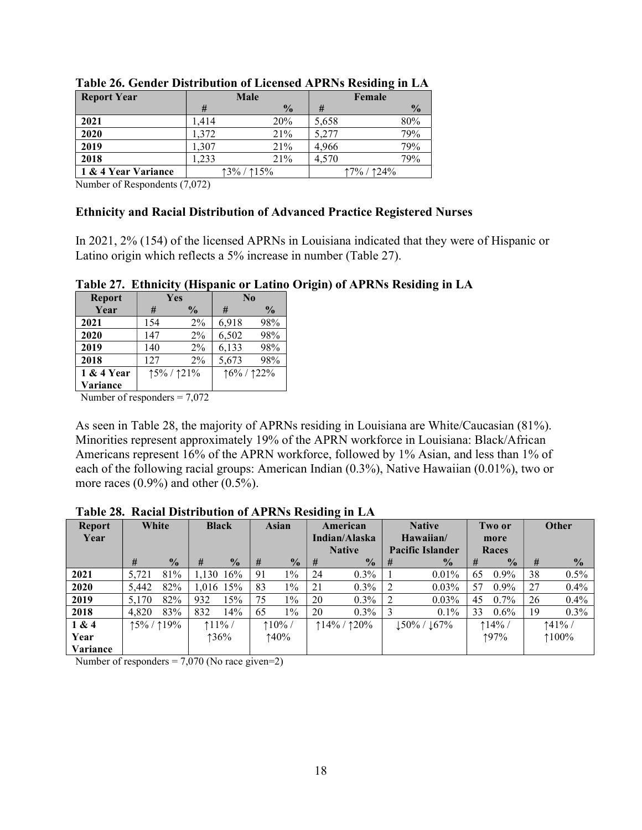| <b>Report Year</b>  |       | <b>Male</b>   |       | Female        |
|---------------------|-------|---------------|-------|---------------|
|                     | #     | $\frac{0}{0}$ | #     | $\frac{0}{0}$ |
| 2021                | 1.414 | 20%           | 5,658 | 80%           |
| 2020                | 1,372 | 21%           | 5,277 | 79%           |
| 2019                | 1,307 | 21%           | 4,966 | 79%           |
| 2018                | 1.233 | 21%           | 4.570 | 79%           |
| 1 & 4 Year Variance |       | $13\% / 15\%$ |       | 17% / 124%    |

|  |  |  |  |  | Table 26. Gender Distribution of Licensed APRNs Residing in LA |
|--|--|--|--|--|----------------------------------------------------------------|
|--|--|--|--|--|----------------------------------------------------------------|

Number of Respondents (7,072)

#### Ethnicity and Racial Distribution of Advanced Practice Registered Nurses

In 2021, 2% (154) of the licensed APRNs in Louisiana indicated that they were of Hispanic or Latino origin which reflects a 5% increase in number (Table 27).

| <b>Report</b> |     | <b>Yes</b>     | $\bf N_0$  |               |
|---------------|-----|----------------|------------|---------------|
| Year          | #   | $\frac{0}{0}$  | #          | $\frac{0}{0}$ |
| 2021          | 154 | $2\%$          | 6,918      | 98%           |
| 2020          | 147 | $2\%$          | 6,502      | 98%           |
| 2019          | 140 | $2\%$          | 6,133      | 98%           |
| 2018          | 127 | $2\%$          | 5,673      | 98%           |
| 1 & 4 Year    |     | $15\% / 121\%$ | 16% / 122% |               |
| Variance      |     |                |            |               |

Table 27. Ethnicity (Hispanic or Latino Origin) of APRNs Residing in LA

Number of responders = 7,072

As seen in Table 28, the majority of APRNs residing in Louisiana are White/Caucasian (81%). Minorities represent approximately 19% of the APRN workforce in Louisiana: Black/African Americans represent 16% of the APRN workforce, followed by 1% Asian, and less than 1% of each of the following racial groups: American Indian (0.3%), Native Hawaiian (0.01%), two or more races  $(0.9\%)$  and other  $(0.5\%)$ .

| <b>Report</b> | White         |               |     | <b>Black</b>  |    | <b>Asian</b>  |                | -<br>American |                   | <b>Native</b>           |         | Two or        |    | <b>Other</b>  |
|---------------|---------------|---------------|-----|---------------|----|---------------|----------------|---------------|-------------------|-------------------------|---------|---------------|----|---------------|
| Year          |               |               |     |               |    |               |                | Indian/Alaska |                   | Hawaiian/               |         | more          |    |               |
|               |               |               |     |               |    |               | <b>Native</b>  |               |                   | <b>Pacific Islander</b> |         | Races         |    |               |
|               | #             | $\frac{0}{0}$ | #   | $\frac{0}{0}$ | #  | $\frac{0}{0}$ | #              | $\frac{1}{2}$ | #                 | $\frac{0}{2}$           | #       | $\frac{0}{0}$ | #  | $\frac{0}{0}$ |
| 2021          | 5.721         | 81%           |     | 1.130 16%     | 91 | $1\%$         | 24             | $0.3\%$       |                   | $0.01\%$                | 65      | $0.9\%$       | 38 | $0.5\%$       |
| 2020          | 5,442         | 82%           |     | 1,016 15%     | 83 | $1\%$         | 21             | $0.3\%$       | 2                 | 0.03%                   | 57      | $0.9\%$       | 27 | 0.4%          |
| 2019          | 5,170         | 82%           | 932 | 15%           | 75 | $1\%$         | 20             | $0.3\%$       | 2                 | 0.03%                   | 45      | $0.7\%$       | 26 | 0.4%          |
| 2018          | 4.820         | 83%           | 832 | 14%           | 65 | $1\%$         | 20             | $0.3\%$       |                   | $0.1\%$                 | 33      | $0.6\%$       | 19 | 0.3%          |
| 1 & 4         | $15\% / 19\%$ |               |     | $11\%$ /      |    | $110\%$ /     | $114\%$ / 120% |               | $150\%$ / $167\%$ |                         | $114\%$ |               |    | $141\%$       |
| Year          |               |               |     | 136%          |    | 140%          |                |               |                   |                         |         | 197%          |    | $100\%$       |
| Variance      |               |               |     |               |    |               |                |               |                   |                         |         |               |    |               |

Table 28. Racial Distribution of APRNs Residing in LA

Number of responders = 7,070 (No race given=2)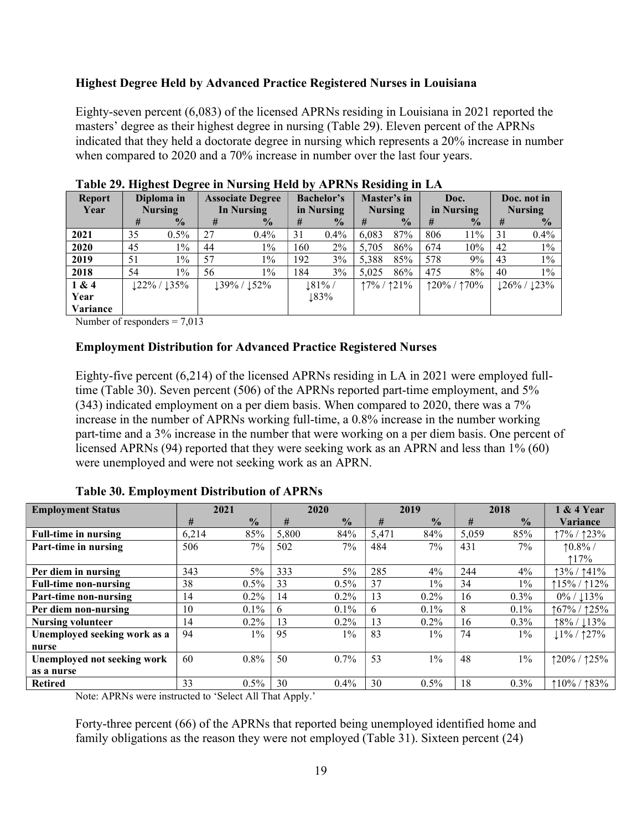## Highest Degree Held by Advanced Practice Registered Nurses in Louisiana

Eighty-seven percent (6,083) of the licensed APRNs residing in Louisiana in 2021 reported the masters' degree as their highest degree in nursing (Table 29). Eleven percent of the APRNs indicated that they held a doctorate degree in nursing which represents a 20% increase in number when compared to 2020 and a 70% increase in number over the last four years.

| <b>Report</b> | Diploma in |                   | <b>Associate Degree</b> |                   | <b>Bachelor's</b> |               | Master's in    |               |     | Doc.           | Doc. not in    |                 |
|---------------|------------|-------------------|-------------------------|-------------------|-------------------|---------------|----------------|---------------|-----|----------------|----------------|-----------------|
| Year          |            | <b>Nursing</b>    |                         | <b>In Nursing</b> | in Nursing        |               | <b>Nursing</b> |               |     | in Nursing     | <b>Nursing</b> |                 |
|               | #          | $\frac{0}{0}$     | #                       | $\frac{0}{2}$     | #                 | $\frac{0}{0}$ | #              | $\frac{1}{2}$ | #   | $\frac{1}{2}$  | #              | $\frac{0}{0}$   |
| 2021          | 35         | 0.5%              | 27                      | $0.4\%$           | 31                | $0.4\%$       | 6.083          | 87%           | 806 | l 1%           | 31             | 0.4%            |
| 2020          | 45         | $1\%$             | 44                      | $1\%$             | 160               | $2\%$         | 5.705          | 86%           | 674 | 10%            | 42             | $1\%$           |
| 2019          | 51         | $1\%$             | 57                      | $1\%$             | 192               | 3%            | 5,388          | 85%           | 578 | $9\%$          | 43             | $1\%$           |
| 2018          | 54         | $1\%$             | 56                      | $1\%$             | 184               | 3%            | 5.025          | 86%           | 475 | 8%             | 40             | $1\%$           |
| 1 & 4         |            | $122\%$ / $135\%$ |                         | $139\% / 152\%$   |                   | $181\%$       | $17\% / 121\%$ |               |     | $120\%$ / 170% |                | $126\% / 123\%$ |
| Year          |            |                   |                         |                   |                   | 183%          |                |               |     |                |                |                 |
| Variance      |            |                   |                         |                   |                   |               |                |               |     |                |                |                 |

|  |  |  |  |  | Table 29. Highest Degree in Nursing Held by APRNs Residing in LA |  |
|--|--|--|--|--|------------------------------------------------------------------|--|
|  |  |  |  |  |                                                                  |  |

Number of responders = 7,013

## Employment Distribution for Advanced Practice Registered Nurses

Eighty-five percent (6,214) of the licensed APRNs residing in LA in 2021 were employed fulltime (Table 30). Seven percent (506) of the APRNs reported part-time employment, and 5% (343) indicated employment on a per diem basis. When compared to 2020, there was a 7% increase in the number of APRNs working full-time, a 0.8% increase in the number working part-time and a 3% increase in the number that were working on a per diem basis. One percent of licensed APRNs (94) reported that they were seeking work as an APRN and less than 1% (60) were unemployed and were not seeking work as an APRN.

| <b>Employment Status</b>           |       | 2021          |       | 2020          |       | 2019          |       | 2018          | $&4$ Year         |
|------------------------------------|-------|---------------|-------|---------------|-------|---------------|-------|---------------|-------------------|
|                                    | #     | $\frac{0}{0}$ | #     | $\frac{0}{0}$ | #     | $\frac{1}{2}$ | #     | $\frac{0}{0}$ | <b>Variance</b>   |
| <b>Full-time in nursing</b>        | 6,214 | 85%           | 5,800 | 84%           | 5,471 | 84%           | 5,059 | 85%           | $17\% / 123\%$    |
| Part-time in nursing               | 506   | $7\%$         | 502   | 7%            | 484   | 7%            | 431   | $7\%$         | $10.8\%$          |
|                                    |       |               |       |               |       |               |       |               | 17%               |
| Per diem in nursing                | 343   | 5%            | 333   | $5\%$         | 285   | $4\%$         | 244   | $4\%$         | 141%<br>13% /     |
| <b>Full-time non-nursing</b>       | 38    | $0.5\%$       | 33    | 0.5%          | 37    | $1\%$         | 34    | $1\%$         | $115\% / 112\%$   |
| <b>Part-time non-nursing</b>       | 14    | $0.2\%$       | 14    | 0.2%          | 13    | $0.2\%$       | 16    | $0.3\%$       | $0\% / 13\%$      |
| Per diem non-nursing               | 10    | $0.1\%$       | 6     | 0.1%          | 6     | $0.1\%$       | 8     | $0.1\%$       | $167\%$ / $125\%$ |
| <b>Nursing volunteer</b>           | 14    | $0.2\%$       | 13    | $0.2\%$       | 13    | $0.2\%$       | 16    | $0.3\%$       | $18\% / 13\%$     |
| Unemployed seeking work as a       | 94    | $1\%$         | 95    | $1\%$         | 83    | $1\%$         | 74    | $1\%$         | $11\% / 127\%$    |
| nurse                              |       |               |       |               |       |               |       |               |                   |
| <b>Unemployed not seeking work</b> | 60    | $0.8\%$       | 50    | 0.7%          | 53    | $1\%$         | 48    | $1\%$         | $120\%$ / $125\%$ |
| as a nurse                         |       |               |       |               |       |               |       |               |                   |
| <b>Retired</b>                     | 33    | $0.5\%$       | 30    | 0.4%          | 30    | $0.5\%$       | 18    | $0.3\%$       | $110\%$ / 183%    |

## Table 30. Employment Distribution of APRNs

Note: APRNs were instructed to 'Select All That Apply.'

Forty-three percent (66) of the APRNs that reported being unemployed identified home and family obligations as the reason they were not employed (Table 31). Sixteen percent (24)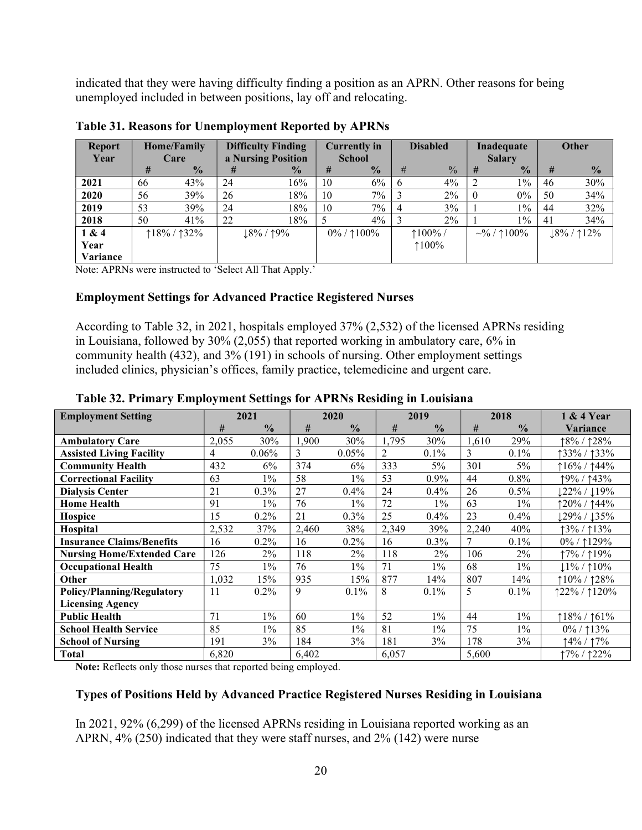indicated that they were having difficulty finding a position as an APRN. Other reasons for being unemployed included in between positions, lay off and relocating.

| <b>Report</b><br>Year |    | <b>Home/Family</b><br>Care | <b>Difficulty Finding</b><br>a Nursing Position |               | <b>Currently in</b><br><b>School</b> |               | <b>Disabled</b> |                   | Inadequate<br><b>Salary</b> |                     | <b>Other</b> |               |
|-----------------------|----|----------------------------|-------------------------------------------------|---------------|--------------------------------------|---------------|-----------------|-------------------|-----------------------------|---------------------|--------------|---------------|
|                       | #  | $\frac{1}{2}$              | #                                               | $\frac{1}{2}$ | #                                    | $\frac{0}{2}$ | #               | $\frac{0}{0}$     | #                           | $\frac{0}{2}$       | #            | $\frac{0}{0}$ |
| 2021                  | 66 | 43%                        | 24                                              | 16%           | 10                                   | 6%            | -6              | $4\%$             | 2                           | $1\%$               | 46           | 30%           |
| 2020                  | 56 | 39%                        | 26                                              | 18%           | 10                                   | 7%            |                 | $2\%$             | $\Omega$                    | $0\%$               | 50           | 34%           |
| 2019                  | 53 | 39%                        | 24                                              | 18%           | 10                                   | 7%            | $\overline{4}$  | 3%                |                             | $1\%$               | 44           | 32%           |
| 2018                  | 50 | 41%                        | 22                                              | 18%           |                                      | $4\%$         |                 | $2\%$             |                             | $1\%$               | 41           | 34%           |
| 1 & 4                 |    | $18\% / 132\%$             |                                                 | $18\%$ / 19%  |                                      | $0\%$ / 1100% |                 | $\uparrow$ 100% / |                             | $\sim\!\!%$ / 1100% |              | $18\%$ / 12%  |
| Year                  |    |                            |                                                 |               |                                      |               |                 | $100\%$           |                             |                     |              |               |
| Variance              |    |                            |                                                 |               |                                      |               |                 |                   |                             |                     |              |               |

Table 31. Reasons for Unemployment Reported by APRNs

Note: APRNs were instructed to 'Select All That Apply.'

#### Employment Settings for Advanced Practice Registered Nurses

According to Table 32, in 2021, hospitals employed 37% (2,532) of the licensed APRNs residing in Louisiana, followed by 30% (2,055) that reported working in ambulatory care, 6% in community health (432), and 3% (191) in schools of nursing. Other employment settings included clinics, physician's offices, family practice, telemedicine and urgent care.

| <b>Employment Setting</b>         |       | 2021          |       | 2020          |       | 2019          |       | 2018          | 1 & 4 Year        |
|-----------------------------------|-------|---------------|-------|---------------|-------|---------------|-------|---------------|-------------------|
|                                   | #     | $\frac{0}{0}$ | #     | $\frac{0}{0}$ | #     | $\frac{0}{0}$ | #     | $\frac{0}{0}$ | <b>Variance</b>   |
| <b>Ambulatory Care</b>            | 2,055 | 30%           | 1,900 | 30%           | 1,795 | 30%           | 1,610 | 29%           | 18% / 128%        |
| <b>Assisted Living Facility</b>   | 4     | $0.06\%$      | 3     | $0.05\%$      | 2     | $0.1\%$       | 3     | 0.1%          | 133% / 133%       |
| <b>Community Health</b>           | 432   | 6%            | 374   | 6%            | 333   | $5\%$         | 301   | $5\%$         | $16\%$ / 144%     |
| <b>Correctional Facility</b>      | 63    | $1\%$         | 58    | $1\%$         | 53    | $0.9\%$       | 44    | 0.8%          | 19% / ↑43%        |
| <b>Dialysis Center</b>            | 21    | 0.3%          | 27    | 0.4%          | 24    | 0.4%          | 26    | 0.5%          | ↓22% / ↓19%       |
| <b>Home Health</b>                | 91    | $1\%$         | 76    | $1\%$         | 72    | $1\%$         | 63    | $1\%$         | 120% / ↑44%       |
| Hospice                           | 15    | 0.2%          | 21    | $0.3\%$       | 25    | 0.4%          | 23    | 0.4%          | $129\%$ / $135\%$ |
| <b>Hospital</b>                   | 2,532 | 37%           | 2,460 | 38%           | 2,349 | 39%           | 2,240 | 40%           | 13% / 113%        |
| <b>Insurance Claims/Benefits</b>  | 16    | 0.2%          | 16    | $0.2\%$       | 16    | $0.3\%$       | 7     | 0.1%          | 0%/1129%          |
| <b>Nursing Home/Extended Care</b> | 126   | $2\%$         | 118   | $2\%$         | 118   | $2\%$         | 106   | 2%            | ↑7% / ↑19%        |
| <b>Occupational Health</b>        | 75    | $1\%$         | 76    | $1\%$         | 71    | $1\%$         | 68    | $1\%$         | ↓1% / ↑10%        |
| <b>Other</b>                      | 1,032 | 15%           | 935   | 15%           | 877   | 14%           | 807   | 14%           | $10\%$ / 128%     |
| <b>Policy/Planning/Regulatory</b> | 11    | $0.2\%$       | 9     | $0.1\%$       | 8     | $0.1\%$       | 5     | $0.1\%$       | $122\% / 120\%$   |
| <b>Licensing Agency</b>           |       |               |       |               |       |               |       |               |                   |
| <b>Public Health</b>              | 71    | $1\%$         | 60    | $1\%$         | 52    | $1\%$         | 44    | $1\%$         | $18\% / 161\%$    |
| <b>School Health Service</b>      | 85    | $1\%$         | 85    | $1\%$         | 81    | $1\%$         | 75    | $1\%$         | $0\%$ / 113%      |
| <b>School of Nursing</b>          | 191   | 3%            | 184   | 3%            | 181   | 3%            | 178   | 3%            | 14% / 17%         |
| <b>Total</b>                      | 6,820 |               | 6,402 |               | 6,057 |               | 5,600 |               | ↑7% / ↑22%        |

Table 32. Primary Employment Settings for APRNs Residing in Louisiana

Note: Reflects only those nurses that reported being employed.

#### Types of Positions Held by Advanced Practice Registered Nurses Residing in Louisiana

In 2021, 92% (6,299) of the licensed APRNs residing in Louisiana reported working as an APRN, 4% (250) indicated that they were staff nurses, and 2% (142) were nurse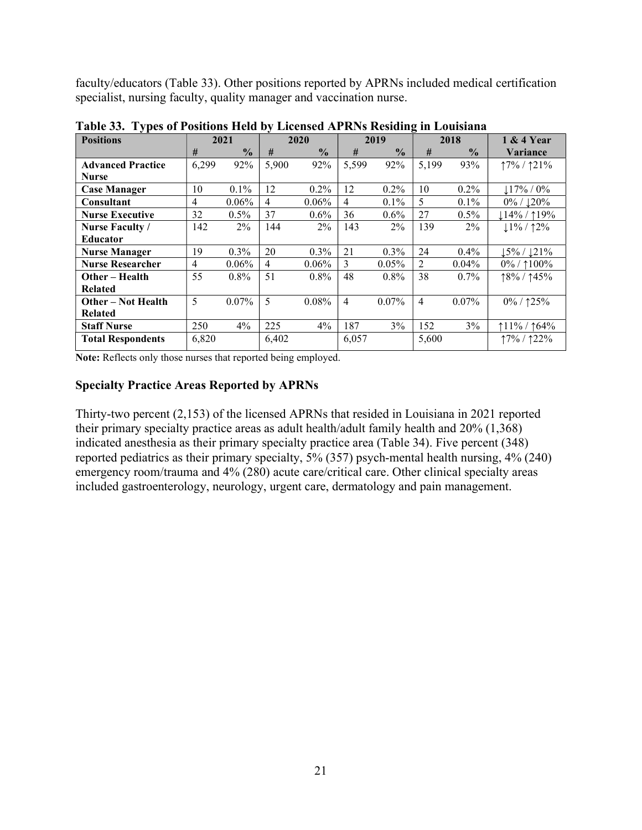faculty/educators (Table 33). Other positions reported by APRNs included medical certification specialist, nursing faculty, quality manager and vaccination nurse.

| . .<br><b>Positions</b>   |       | 2021          |                | 2020          |                | 2019          | o              | 2018          | 1 & 4 Year       |
|---------------------------|-------|---------------|----------------|---------------|----------------|---------------|----------------|---------------|------------------|
|                           | #     | $\frac{0}{0}$ | #              | $\frac{0}{0}$ | #              | $\frac{0}{0}$ | #              | $\frac{0}{0}$ | <b>Variance</b>  |
| <b>Advanced Practice</b>  | 6,299 | 92%           | 5,900          | 92%           | 5.599          | 92%           | 5.199          | 93%           | $17\% / 121\%$   |
| <b>Nurse</b>              |       |               |                |               |                |               |                |               |                  |
| <b>Case Manager</b>       | 10    | 0.1%          | 12             | 0.2%          | 12             | $0.2\%$       | 10             | $0.2\%$       | $117\% / 0\%$    |
| Consultant                | 4     | $0.06\%$      | $\overline{4}$ | $0.06\%$      | $\overline{4}$ | $0.1\%$       | 5.             | $0.1\%$       | $0\%$ / $120\%$  |
| <b>Nurse Executive</b>    | 32    | $0.5\%$       | 37             | $0.6\%$       | 36             | $0.6\%$       | 27             | $0.5\%$       | $14\%$ / 19%     |
| <b>Nurse Faculty /</b>    | 142   | $2\%$         | 144            | $2\%$         | 143            | $2\%$         | 139            | 2%            | $11\%$ / 12%     |
| <b>Educator</b>           |       |               |                |               |                |               |                |               |                  |
| <b>Nurse Manager</b>      | 19    | 0.3%          | 20             | $0.3\%$       | 21             | $0.3\%$       | 24             | $0.4\%$       | $15\% / 121\%$   |
| <b>Nurse Researcher</b>   | 4     | $0.06\%$      | $\overline{4}$ | $0.06\%$      | 3              | 0.05%         | 2              | $0.04\%$      | $0\%$ / 1100%    |
| Other - Health            | 55    | $0.8\%$       | 51             | $0.8\%$       | 48             | 0.8%          | 38             | 0.7%          | $18\%$ / $145\%$ |
| <b>Related</b>            |       |               |                |               |                |               |                |               |                  |
| <b>Other</b> – Not Health | 5     | $0.07\%$      | 5              | $0.08\%$      | $\overline{4}$ | $0.07\%$      | $\overline{4}$ | $0.07\%$      | 0%/125%          |
| <b>Related</b>            |       |               |                |               |                |               |                |               |                  |
| <b>Staff Nurse</b>        | 250   | 4%            | 225            | 4%            | 187            | 3%            | 152            | 3%            | $11\% / 164\%$   |
| <b>Total Respondents</b>  | 6,820 |               | 6,402          |               | 6,057          |               | 5,600          |               | $17\% / 122\%$   |
|                           |       |               |                |               |                |               |                |               |                  |

Table 33. Types of Positions Held by Licensed APRNs Residing in Louisiana

Note: Reflects only those nurses that reported being employed.

## Specialty Practice Areas Reported by APRNs

Thirty-two percent (2,153) of the licensed APRNs that resided in Louisiana in 2021 reported their primary specialty practice areas as adult health/adult family health and 20% (1,368) indicated anesthesia as their primary specialty practice area (Table 34). Five percent (348) reported pediatrics as their primary specialty,  $5\%$  (357) psych-mental health nursing,  $4\%$  (240) emergency room/trauma and 4% (280) acute care/critical care. Other clinical specialty areas included gastroenterology, neurology, urgent care, dermatology and pain management.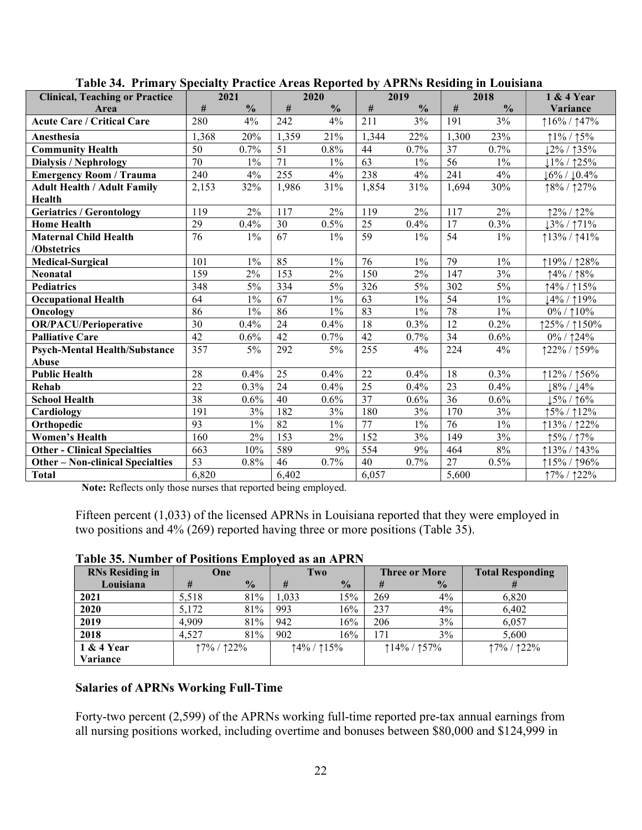| Twice $\mathbf{r}$ is the many operatory through the motive $\mathbf{r}$ and $\mathbf{r}$ in the momentum to the momentum<br><b>Clinical, Teaching or Practice</b> | 2021            |               |                 | 2020          |                 | 2019          |       | 2018          | 1 & 4 Year             |
|--------------------------------------------------------------------------------------------------------------------------------------------------------------------|-----------------|---------------|-----------------|---------------|-----------------|---------------|-------|---------------|------------------------|
| Area                                                                                                                                                               | #               | $\frac{0}{0}$ | $\#$            | $\frac{0}{0}$ | $\#$            | $\frac{0}{0}$ | $\#$  | $\frac{0}{0}$ | Variance               |
| <b>Acute Care / Critical Care</b>                                                                                                                                  | 280             | 4%            | 242             | 4%            | 211             | 3%            | 191   | 3%            | $16\% / 147\%$         |
| Anesthesia                                                                                                                                                         | 1,368           | 20%           | 1,359           | 21%           | 1,344           | 22%           | 1,300 | 23%           | $1\% / 15\%$           |
| <b>Community Health</b>                                                                                                                                            | 50              | 0.7%          | 51              | 0.8%          | 44              | 0.7%          | 37    | 0.7%          | $12\%$ / 135%          |
| <b>Dialysis / Nephrology</b>                                                                                                                                       | $\overline{70}$ | $1\%$         | 71              | $1\%$         | $\overline{63}$ | $1\%$         | 56    | $1\%$         | $11\%$ / 125%          |
| <b>Emergency Room / Trauma</b>                                                                                                                                     | 240             | 4%            | 255             | 4%            | 238             | 4%            | 241   | 4%            | $16\% / 10.4\%$        |
| <b>Adult Health / Adult Family</b>                                                                                                                                 | 2,153           | 32%           | 1,986           | 31%           | 1,854           | 31%           | 1,694 | 30%           | $18\% / 127\%$         |
| Health                                                                                                                                                             |                 |               |                 |               |                 |               |       |               |                        |
| <b>Geriatrics / Gerontology</b>                                                                                                                                    | 119             | 2%            | 117             | 2%            | 119             | 2%            | 117   | $2\%$         | $12\% / 12\%$          |
| <b>Home Health</b>                                                                                                                                                 | 29              | 0.4%          | 30              | 0.5%          | 25              | 0.4%          | 17    | $0.3\%$       | $13\% / 171\%$         |
| <b>Maternal Child Health</b>                                                                                                                                       | 76              | $1\%$         | 67              | $1\%$         | 59              | $1\%$         | 54    | $1\%$         | $13\% / 141\%$         |
| /Obstetrics                                                                                                                                                        |                 |               |                 |               |                 |               |       |               |                        |
| <b>Medical-Surgical</b>                                                                                                                                            | 101             | $1\%$         | 85              | $1\%$         | 76              | $1\%$         | 79    | $1\%$         | 19% / 128%             |
| <b>Neonatal</b>                                                                                                                                                    | 159             | $2\%$         | 153             | 2%            | 150             | $2\%$         | 147   | 3%            | $14\% / 18\%$          |
| <b>Pediatrics</b>                                                                                                                                                  | 348             | 5%            | 334             | $5\%$         | 326             | 5%            | 302   | $5\%$         | $14\% / 15\%$          |
| <b>Occupational Health</b>                                                                                                                                         | 64              | $1\%$         | 67              | $1\%$         | 63              | $1\%$         | 54    | $1\%$         | 14%/119%               |
| Oncology                                                                                                                                                           | 86              | $1\%$         | 86              | $1\%$         | 83              | $1\%$         | 78    | $1\%$         | 0%/110%                |
| <b>OR/PACU/Perioperative</b>                                                                                                                                       | 30              | 0.4%          | 24              | 0.4%          | 18              | 0.3%          | 12    | 0.2%          | ↑25% / ↑150%           |
| <b>Palliative Care</b>                                                                                                                                             | 42              | 0.6%          | 42              | 0.7%          | 42              | 0.7%          | 34    | 0.6%          | $0\%$ / $\uparrow$ 24% |
| <b>Psych-Mental Health/Substance</b>                                                                                                                               | 357             | 5%            | 292             | 5%            | 255             | 4%            | 224   | 4%            | 122% / 159%            |
| Abuse                                                                                                                                                              |                 |               |                 |               |                 |               |       |               |                        |
| <b>Public Health</b>                                                                                                                                               | 28              | 0.4%          | 25              | 0.4%          | 22              | 0.4%          | 18    | 0.3%          | $12\% / 156\%$         |
| Rehab                                                                                                                                                              | 22              | 0.3%          | 24              | 0.4%          | 25              | 0.4%          | 23    | 0.4%          | $18\%$ / $14\%$        |
| <b>School Health</b>                                                                                                                                               | 38              | 0.6%          | 40              | 0.6%          | 37              | 0.6%          | 36    | 0.6%          | $15\%$ / 16%           |
| Cardiology                                                                                                                                                         | 191             | 3%            | 182             | 3%            | 180             | 3%            | 170   | 3%            | 15%/112%               |
| Orthopedic                                                                                                                                                         | $\overline{93}$ | $1\%$         | $\overline{82}$ | $1\%$         | $\overline{77}$ | $1\%$         | 76    | $1\%$         | $13\% / 122\%$         |
| <b>Women's Health</b>                                                                                                                                              | 160             | 2%            | 153             | 2%            | 152             | 3%            | 149   | 3%            | 15% / 17%              |
| <b>Other - Clinical Specialties</b>                                                                                                                                | 663             | 10%           | 589             | 9%            | 554             | 9%            | 464   | 8%            | $13\% / 143\%$         |
| <b>Other - Non-clinical Specialties</b>                                                                                                                            | 53              | 0.8%          | 46              | 0.7%          | 40              | 0.7%          | 27    | 0.5%          | 115% / 196%            |
| <b>Total</b>                                                                                                                                                       | 6,820           |               | 6,402           |               | 6,057           |               | 5,600 |               | 17% / 122%             |

|  |  |  |  | Table 34. Primary Specialty Practice Areas Reported by APRNs Residing in Louisiana |
|--|--|--|--|------------------------------------------------------------------------------------|
|  |  |  |  |                                                                                    |

Note: Reflects only those nurses that reported being employed.

Fifteen percent (1,033) of the licensed APRNs in Louisiana reported that they were employed in two positions and 4% (269) reported having three or more positions (Table 35).

| <b>RNs Residing in</b> | One            |               |       | Two                            |     | <b>Three or More</b> | <b>Total Responding</b>        |
|------------------------|----------------|---------------|-------|--------------------------------|-----|----------------------|--------------------------------|
| Louisiana              | #              | $\frac{0}{0}$ | #     | $\frac{0}{0}$                  | #   | $\frac{0}{2}$        |                                |
| 2021                   | 5,518          | 81%           | 1.033 | 15%                            | 269 | $4\%$                | 6.820                          |
| 2020                   | 5,172          | 81%           | 993   | 16%                            | 237 | $4\%$                | 6.402                          |
| 2019                   | 4.909          | 81%           | 942   | 16%                            | 206 | 3%                   | 6.057                          |
| 2018                   | 4.527          | 81%           | 902   | 16%                            | 71  | 3%                   | 5,600                          |
| 1 & 4 Year             | $17\% / 122\%$ |               |       | $\uparrow$ 4% / $\uparrow$ 15% |     | $14\%$ / 157%        | $\uparrow$ 7% / $\uparrow$ 22% |
| Variance               |                |               |       |                                |     |                      |                                |

Table 35. Number of Positions Employed as an APRN

# Salaries of APRNs Working Full-Time

Forty-two percent (2,599) of the APRNs working full-time reported pre-tax annual earnings from all nursing positions worked, including overtime and bonuses between \$80,000 and \$124,999 in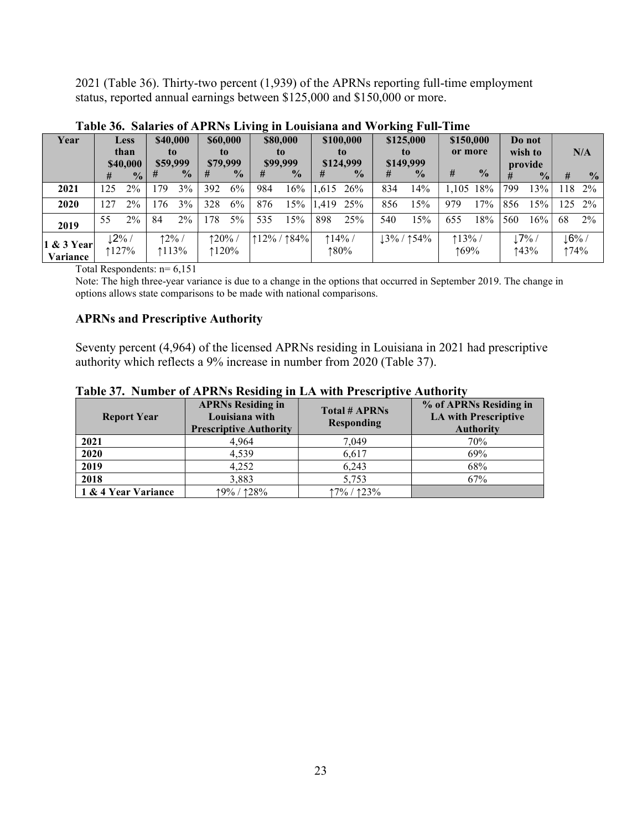2021 (Table 36). Thirty-two percent (1,939) of the APRNs reporting full-time employment status, reported annual earnings between \$125,000 and \$150,000 or more.

| Year                    |        | <b>Less</b><br>than<br>\$40,000 | \$40,000<br>to<br>\$59,999 |               | \$60,000<br>to<br>\$79,999 |               | -   | \$80,000<br>to<br>\$99,999 |                 | \$100,000<br>to<br>\$124,999 | \$125,000<br>to<br>\$149,999 |                |                |               |     |               |                               |               |  |  | \$150,000<br>or more |  | Do not<br>wish to<br>provide |  | N/A |  |
|-------------------------|--------|---------------------------------|----------------------------|---------------|----------------------------|---------------|-----|----------------------------|-----------------|------------------------------|------------------------------|----------------|----------------|---------------|-----|---------------|-------------------------------|---------------|--|--|----------------------|--|------------------------------|--|-----|--|
|                         | #      | $\frac{0}{0}$                   | #                          | $\frac{0}{2}$ | #                          | $\frac{0}{0}$ | #   | $\frac{0}{0}$              | #               | $\frac{0}{0}$                | #                            | $\frac{1}{2}$  | #              | $\frac{0}{0}$ | #   | $\frac{0}{2}$ | #                             | $\frac{0}{0}$ |  |  |                      |  |                              |  |     |  |
| 2021                    | 125    | 2%                              | 179                        | 3%            | 392                        | 6%            | 984 | 16%                        | 1.615           | 26%                          | 834                          | 14%            | 1,105 18%      |               | 799 | 13%           | 18                            | $2\%$         |  |  |                      |  |                              |  |     |  |
| 2020                    | 127    | 2%                              | 176                        | 3%            | 328                        | 6%            | 876 | 15%                        | $ 1.419\rangle$ | 25%                          | 856                          | 15%            | 979            | 17%           | 856 | 15%           | 125                           | 2%            |  |  |                      |  |                              |  |     |  |
| 2019                    | 55     | 2%                              | 84                         | $2\%$         | 78                         | 5%            | 535 | 15%                        | 898             | 25%                          | 540                          | 15%            | 655            | 18%           | 560 | 16%           | 68                            | $2\%$         |  |  |                      |  |                              |  |     |  |
| 1 & 3 Year <br>Variance | $12\%$ | 127%                            | $12\%$ /                   | 113%          | 120%                       | 1120%         |     | $12\% / 184\%$             | $114\%$         | ↑80%                         |                              | $13\% / 154\%$ | $13\%$<br>169% |               |     | 17%<br>↑43%   | $\lfloor 6\% \rfloor$<br>↑74% |               |  |  |                      |  |                              |  |     |  |

Table 36. Salaries of APRNs Living in Louisiana and Working Full-Time

Total Respondents: n= 6,151

Note: The high three-year variance is due to a change in the options that occurred in September 2019. The change in options allows state comparisons to be made with national comparisons.

## APRNs and Prescriptive Authority

Seventy percent (4,964) of the licensed APRNs residing in Louisiana in 2021 had prescriptive authority which reflects a 9% increase in number from 2020 (Table 37).

| <b>Report Year</b>  | <b>APRNs Residing in</b><br>Louisiana with<br><b>Prescriptive Authority</b> | <b>Total # APRNs</b><br><b>Responding</b> | % of APRNs Residing in<br><b>LA with Prescriptive</b><br><b>Authority</b> |
|---------------------|-----------------------------------------------------------------------------|-------------------------------------------|---------------------------------------------------------------------------|
| 2021                | 4.964                                                                       | 7.049                                     | 70%                                                                       |
| 2020                | 4.539                                                                       | 6.617                                     | 69%                                                                       |
| 2019                | 4.252                                                                       | 6.243                                     | 68%                                                                       |
| 2018                | 3.883                                                                       | 5.753                                     | 67%                                                                       |
| 1 & 4 Year Variance | 19% / 128%                                                                  | $17\%$ / $123\%$                          |                                                                           |

Table 37. Number of APRNs Residing in LA with Prescriptive Authority